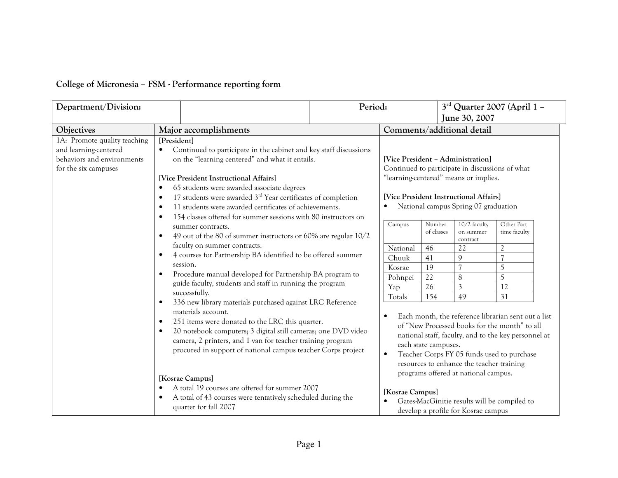| College of Micronesia - FSM - Performance reporting form |  |  |  |
|----------------------------------------------------------|--|--|--|
|----------------------------------------------------------|--|--|--|

| Department/Division:<br>Period:                                                                             |                                                                                                                                                                                                                                                                                                                                                                                                                                                                                                                                                                                                                                                                                                                                                             |  | $3rd$ Quarter 2007 (April 1 –<br>June 30, 2007                                              |                                                                                                |                                                                                                                                                                            |                                                                                                                                                                                                                                                                                  |
|-------------------------------------------------------------------------------------------------------------|-------------------------------------------------------------------------------------------------------------------------------------------------------------------------------------------------------------------------------------------------------------------------------------------------------------------------------------------------------------------------------------------------------------------------------------------------------------------------------------------------------------------------------------------------------------------------------------------------------------------------------------------------------------------------------------------------------------------------------------------------------------|--|---------------------------------------------------------------------------------------------|------------------------------------------------------------------------------------------------|----------------------------------------------------------------------------------------------------------------------------------------------------------------------------|----------------------------------------------------------------------------------------------------------------------------------------------------------------------------------------------------------------------------------------------------------------------------------|
| Objectives                                                                                                  | Major accomplishments                                                                                                                                                                                                                                                                                                                                                                                                                                                                                                                                                                                                                                                                                                                                       |  | Comments/additional detail                                                                  |                                                                                                |                                                                                                                                                                            |                                                                                                                                                                                                                                                                                  |
| 1A: Promote quality teaching<br>and learning-centered<br>behaviors and environments<br>for the six campuses | [President]<br>Continued to participate in the cabinet and key staff discussions<br>on the "learning centered" and what it entails.<br>[Vice President Instructional Affairs]<br>65 students were awarded associate degrees<br>$\bullet$<br>17 students were awarded $3rd$ Year certificates of completion<br>$\bullet$<br>11 students were awarded certificates of achievements.<br>$\bullet$<br>154 classes offered for summer sessions with 80 instructors on<br>$\bullet$                                                                                                                                                                                                                                                                               |  | [Vice President - Administration]                                                           |                                                                                                | Continued to participate in discussions of what<br>"learning-centered" means or implies.<br>[Vice President Instructional Affairs]<br>National campus Spring 07 graduation |                                                                                                                                                                                                                                                                                  |
|                                                                                                             | summer contracts.<br>49 out of the 80 of summer instructors or 60% are regular 10/2<br>$\bullet$<br>faculty on summer contracts.<br>4 courses for Partnership BA identified to be offered summer<br>$\bullet$<br>session.<br>Procedure manual developed for Partnership BA program to<br>$\bullet$<br>guide faculty, students and staff in running the program<br>successfully.<br>336 new library materials purchased against LRC Reference<br>$\bullet$<br>materials account.<br>251 items were donated to the LRC this quarter.<br>$\bullet$<br>20 notebook computers; 3 digital still cameras; one DVD video<br>$\bullet$<br>camera, 2 printers, and 1 van for teacher training program<br>procured in support of national campus teacher Corps project |  | Campus<br>National<br>Chuuk<br>Kosrae<br>Pohnpei<br>Yap<br>Totals<br>$\bullet$<br>$\bullet$ | Number<br>of classes<br>46<br>41<br>19<br>$\overline{22}$<br>26<br>154<br>each state campuses. | 10/2 faculty<br>on summer<br>contract<br>22<br>$\overline{Q}$<br>$\overline{7}$<br>8<br>3<br>49<br>resources to enhance the teacher training                               | Other Part<br>time faculty<br>$\overline{2}$<br>5<br>5<br>12<br>31<br>Each month, the reference librarian sent out a list<br>of "New Processed books for the month" to all<br>national staff, faculty, and to the key personnel at<br>Teacher Corps FY 05 funds used to purchase |
|                                                                                                             | [Kosrae Campus]<br>A total 19 courses are offered for summer 2007<br>A total of 43 courses were tentatively scheduled during the<br>$\bullet$<br>quarter for fall 2007                                                                                                                                                                                                                                                                                                                                                                                                                                                                                                                                                                                      |  | [Kosrae Campus]                                                                             |                                                                                                | programs offered at national campus.<br>Gates-MacGinitie results will be compiled to<br>develop a profile for Kosrae campus                                                |                                                                                                                                                                                                                                                                                  |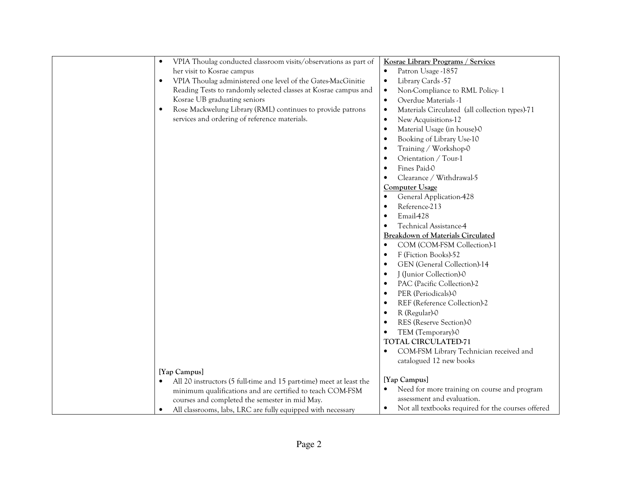| VPIA Thoulag conducted classroom visits/observations as part of<br>$\bullet$     | Kosrae Library Programs / Services                              |
|----------------------------------------------------------------------------------|-----------------------------------------------------------------|
| her visit to Kosrae campus                                                       | Patron Usage -1857<br>$\bullet$                                 |
| VPIA Thoulag administered one level of the Gates-MacGinitie<br>$\bullet$         | Library Cards -57<br>$\bullet$                                  |
| Reading Tests to randomly selected classes at Kosrae campus and                  | Non-Compliance to RML Policy-1<br>$\bullet$                     |
| Kosrae UB graduating seniors                                                     | Overdue Materials -1<br>$\bullet$                               |
| Rose Mackwelung Library (RML) continues to provide patrons<br>$\bullet$          | Materials Circulated (all collection types)-71<br>$\bullet$     |
| services and ordering of reference materials.                                    | New Acquisitions-12<br>$\bullet$                                |
|                                                                                  | Material Usage (in house)-0<br>$\bullet$                        |
|                                                                                  | Booking of Library Use-10<br>$\bullet$                          |
|                                                                                  | Training / Workshop-0<br>$\bullet$                              |
|                                                                                  | Orientation / Tour-1<br>$\bullet$                               |
|                                                                                  | Fines Paid-0<br>$\bullet$                                       |
|                                                                                  | Clearance / Withdrawal-5<br>$\bullet$                           |
|                                                                                  | <b>Computer Usage</b>                                           |
|                                                                                  | General Application-428<br>$\bullet$                            |
|                                                                                  | Reference-213<br>$\bullet$                                      |
|                                                                                  | Email-428<br>$\bullet$                                          |
|                                                                                  | Technical Assistance-4<br>$\bullet$                             |
|                                                                                  | <b>Breakdown of Materials Circulated</b>                        |
|                                                                                  | COM (COM-FSM Collection)-1<br>$\bullet$                         |
|                                                                                  | F (Fiction Books)-52<br>$\bullet$                               |
|                                                                                  | GEN (General Collection)-14<br>$\bullet$                        |
|                                                                                  | J (Junior Collection)-0<br>$\bullet$                            |
|                                                                                  | PAC (Pacific Collection)-2<br>$\bullet$                         |
|                                                                                  | PER (Periodicals)-0<br>$\bullet$                                |
|                                                                                  | REF (Reference Collection)-2<br>$\bullet$                       |
|                                                                                  | R (Regular)-0<br>$\bullet$                                      |
|                                                                                  | RES (Reserve Section)-0<br>$\bullet$                            |
|                                                                                  | TEM (Temporary)-0<br>$\bullet$                                  |
|                                                                                  | <b>TOTAL CIRCULATED-71</b>                                      |
|                                                                                  | COM-FSM Library Technician received and<br>$\bullet$            |
|                                                                                  | catalogued 12 new books                                         |
| [Yap Campus]                                                                     |                                                                 |
| All 20 instructors (5 full-time and 15 part-time) meet at least the<br>$\bullet$ | [Yap Campus]                                                    |
| minimum qualifications and are certified to teach COM-FSM                        | Need for more training on course and program<br>$\bullet$       |
| courses and completed the semester in mid May.                                   | assessment and evaluation.                                      |
| All classrooms, labs, LRC are fully equipped with necessary<br>٠                 | Not all textbooks required for the courses offered<br>$\bullet$ |
|                                                                                  |                                                                 |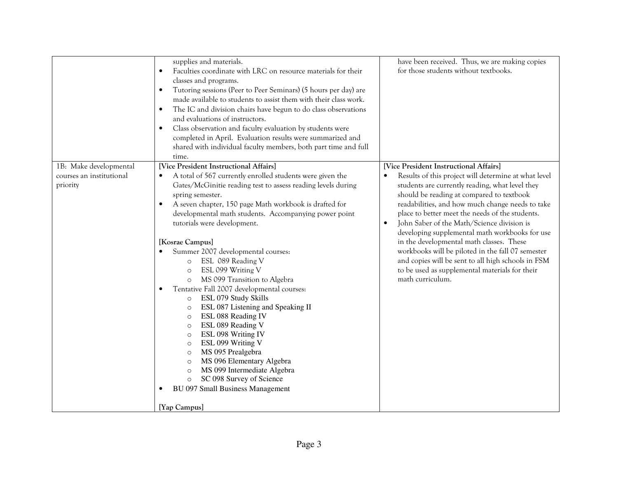|                                                                | supplies and materials.<br>Faculties coordinate with LRC on resource materials for their<br>$\bullet$<br>classes and programs.<br>Tutoring sessions (Peer to Peer Seminars) (5 hours per day) are<br>$\bullet$<br>made available to students to assist them with their class work.<br>The IC and division chairs have begun to do class observations<br>$\bullet$<br>and evaluations of instructors.<br>Class observation and faculty evaluation by students were<br>$\bullet$<br>completed in April. Evaluation results were summarized and<br>shared with individual faculty members, both part time and full<br>time.                                                                                                                                                                                                                                                                                                                                                                             | have been received. Thus, we are making copies<br>for those students without textbooks.                                                                                                                                                                                                                                                                                                                                                                                                                                                                                                                                            |
|----------------------------------------------------------------|------------------------------------------------------------------------------------------------------------------------------------------------------------------------------------------------------------------------------------------------------------------------------------------------------------------------------------------------------------------------------------------------------------------------------------------------------------------------------------------------------------------------------------------------------------------------------------------------------------------------------------------------------------------------------------------------------------------------------------------------------------------------------------------------------------------------------------------------------------------------------------------------------------------------------------------------------------------------------------------------------|------------------------------------------------------------------------------------------------------------------------------------------------------------------------------------------------------------------------------------------------------------------------------------------------------------------------------------------------------------------------------------------------------------------------------------------------------------------------------------------------------------------------------------------------------------------------------------------------------------------------------------|
| 1B: Make developmental<br>courses an institutional<br>priority | [Vice President Instructional Affairs]<br>A total of 567 currently enrolled students were given the<br>Gates/McGinitie reading test to assess reading levels during<br>spring semester.<br>A seven chapter, 150 page Math workbook is drafted for<br>developmental math students. Accompanying power point<br>tutorials were development.<br>[Kosrae Campus]<br>Summer 2007 developmental courses:<br>ESL 089 Reading V<br>$\circ$<br>ESL 099 Writing V<br>$\circ$<br>MS 099 Transition to Algebra<br>$\circ$<br>Tentative Fall 2007 developmental courses:<br>ESL 079 Study Skills<br>$\circ$<br>ESL 087 Listening and Speaking II<br>$\circ$<br>ESL 088 Reading IV<br>$\circ$<br>ESL 089 Reading V<br>$\circ$<br>ESL 098 Writing IV<br>$\circ$<br>ESL 099 Writing V<br>$\circ$<br>MS 095 Prealgebra<br>$\circ$<br>MS 096 Elementary Algebra<br>$\circ$<br>MS 099 Intermediate Algebra<br>$\circ$<br>SC 098 Survey of Science<br>$\circ$<br><b>BU 097 Small Business Management</b><br>[Yap Campus] | [Vice President Instructional Affairs]<br>Results of this project will determine at what level<br>students are currently reading, what level they<br>should be reading at compared to textbook<br>readabilities, and how much change needs to take<br>place to better meet the needs of the students.<br>John Saber of the Math/Science division is<br>developing supplemental math workbooks for use<br>in the developmental math classes. These<br>workbooks will be piloted in the fall 07 semester<br>and copies will be sent to all high schools in FSM<br>to be used as supplemental materials for their<br>math curriculum. |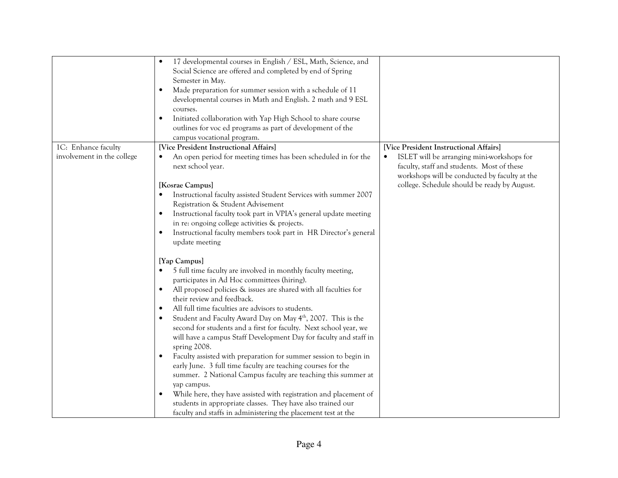|                            | 17 developmental courses in English / ESL, Math, Science, and<br>Social Science are offered and completed by end of Spring<br>Semester in May. |                                               |
|----------------------------|------------------------------------------------------------------------------------------------------------------------------------------------|-----------------------------------------------|
|                            | Made preparation for summer session with a schedule of 11<br>$\bullet$                                                                         |                                               |
|                            | developmental courses in Math and English. 2 math and 9 ESL                                                                                    |                                               |
|                            | courses.                                                                                                                                       |                                               |
|                            | Initiated collaboration with Yap High School to share course                                                                                   |                                               |
|                            | outlines for voc ed programs as part of development of the                                                                                     |                                               |
|                            |                                                                                                                                                |                                               |
|                            | campus vocational program.                                                                                                                     |                                               |
| 1C: Enhance faculty        | [Vice President Instructional Affairs]                                                                                                         | [Vice President Instructional Affairs]        |
| involvement in the college | An open period for meeting times has been scheduled in for the                                                                                 | ISLET will be arranging mini-workshops for    |
|                            | next school year.                                                                                                                              | faculty, staff and students. Most of these    |
|                            |                                                                                                                                                | workshops will be conducted by faculty at the |
|                            | [Kosrae Campus]                                                                                                                                | college. Schedule should be ready by August.  |
|                            | Instructional faculty assisted Student Services with summer 2007                                                                               |                                               |
|                            | Registration & Student Advisement                                                                                                              |                                               |
|                            | Instructional faculty took part in VPIA's general update meeting                                                                               |                                               |
|                            | in re: ongoing college activities & projects.                                                                                                  |                                               |
|                            | Instructional faculty members took part in HR Director's general                                                                               |                                               |
|                            | update meeting                                                                                                                                 |                                               |
|                            |                                                                                                                                                |                                               |
|                            | [Yap Campus]                                                                                                                                   |                                               |
|                            | 5 full time faculty are involved in monthly faculty meeting,                                                                                   |                                               |
|                            | participates in Ad Hoc committees (hiring).                                                                                                    |                                               |
|                            | All proposed policies & issues are shared with all faculties for                                                                               |                                               |
|                            | their review and feedback.                                                                                                                     |                                               |
|                            | All full time faculties are advisors to students.                                                                                              |                                               |
|                            | Student and Faculty Award Day on May 4 <sup>th</sup> , 2007. This is the                                                                       |                                               |
|                            |                                                                                                                                                |                                               |
|                            | second for students and a first for faculty. Next school year, we                                                                              |                                               |
|                            | will have a campus Staff Development Day for faculty and staff in                                                                              |                                               |
|                            | spring 2008.                                                                                                                                   |                                               |
|                            | Faculty assisted with preparation for summer session to begin in                                                                               |                                               |
|                            | early June. 3 full time faculty are teaching courses for the                                                                                   |                                               |
|                            | summer. 2 National Campus faculty are teaching this summer at                                                                                  |                                               |
|                            | yap campus.                                                                                                                                    |                                               |
|                            | While here, they have assisted with registration and placement of                                                                              |                                               |
|                            | students in appropriate classes. They have also trained our                                                                                    |                                               |
|                            | faculty and staffs in administering the placement test at the                                                                                  |                                               |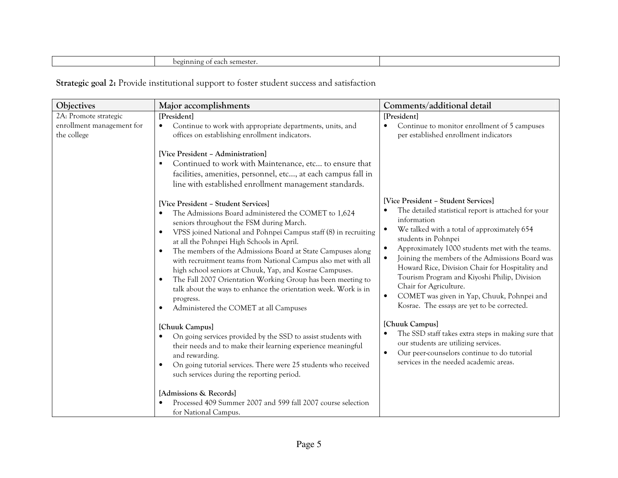| $- -$<br>~ semes.<br>∍ลc<br>-  1<br>$\sim$ |  |
|--------------------------------------------|--|
|                                            |  |

Strategic goal 2: Provide institutional support to foster student success and satisfaction

| Objectives                                                        | Major accomplishments                                                                                                                                                                                                                                                                                                                                                                                                                                                                                                                                                                                                                                                 | Comments/additional detail                                                                                                                                                                                                                                                                                                                                                                                                                                                                                                    |
|-------------------------------------------------------------------|-----------------------------------------------------------------------------------------------------------------------------------------------------------------------------------------------------------------------------------------------------------------------------------------------------------------------------------------------------------------------------------------------------------------------------------------------------------------------------------------------------------------------------------------------------------------------------------------------------------------------------------------------------------------------|-------------------------------------------------------------------------------------------------------------------------------------------------------------------------------------------------------------------------------------------------------------------------------------------------------------------------------------------------------------------------------------------------------------------------------------------------------------------------------------------------------------------------------|
| 2A: Promote strategic<br>enrollment management for<br>the college | [President]<br>Continue to work with appropriate departments, units, and<br>$\bullet$<br>offices on establishing enrollment indicators.<br>[Vice President - Administration]<br>Continued to work with Maintenance, etc to ensure that<br>facilities, amenities, personnel, etc, at each campus fall in<br>line with established enrollment management standards.                                                                                                                                                                                                                                                                                                     | [President]<br>Continue to monitor enrollment of 5 campuses<br>per established enrollment indicators                                                                                                                                                                                                                                                                                                                                                                                                                          |
|                                                                   | [Vice President - Student Services]<br>The Admissions Board administered the COMET to 1,624<br>seniors throughout the FSM during March.<br>VPSS joined National and Pohnpei Campus staff (8) in recruiting<br>$\bullet$<br>at all the Pohnpei High Schools in April.<br>The members of the Admissions Board at State Campuses along<br>with recruitment teams from National Campus also met with all<br>high school seniors at Chuuk, Yap, and Kosrae Campuses.<br>The Fall 2007 Orientation Working Group has been meeting to<br>$\bullet$<br>talk about the ways to enhance the orientation week. Work is in<br>progress.<br>Administered the COMET at all Campuses | [Vice President - Student Services]<br>The detailed statistical report is attached for your<br>information<br>We talked with a total of approximately 654<br>students in Pohnpei<br>Approximately 1000 students met with the teams.<br>$\bullet$<br>Joining the members of the Admissions Board was<br>Howard Rice, Division Chair for Hospitality and<br>Tourism Program and Kiyoshi Philip, Division<br>Chair for Agriculture.<br>COMET was given in Yap, Chuuk, Pohnpei and<br>Kosrae. The essays are yet to be corrected. |
|                                                                   | [Chuuk Campus]<br>On going services provided by the SSD to assist students with<br>$\bullet$<br>their needs and to make their learning experience meaningful<br>and rewarding.<br>On going tutorial services. There were 25 students who received<br>such services during the reporting period.                                                                                                                                                                                                                                                                                                                                                                       | [Chuuk Campus]<br>The SSD staff takes extra steps in making sure that<br>our students are utilizing services.<br>Our peer-counselors continue to do tutorial<br>$\bullet$<br>services in the needed academic areas.                                                                                                                                                                                                                                                                                                           |
|                                                                   | [Admissions & Records]<br>Processed 409 Summer 2007 and 599 fall 2007 course selection<br>for National Campus.                                                                                                                                                                                                                                                                                                                                                                                                                                                                                                                                                        |                                                                                                                                                                                                                                                                                                                                                                                                                                                                                                                               |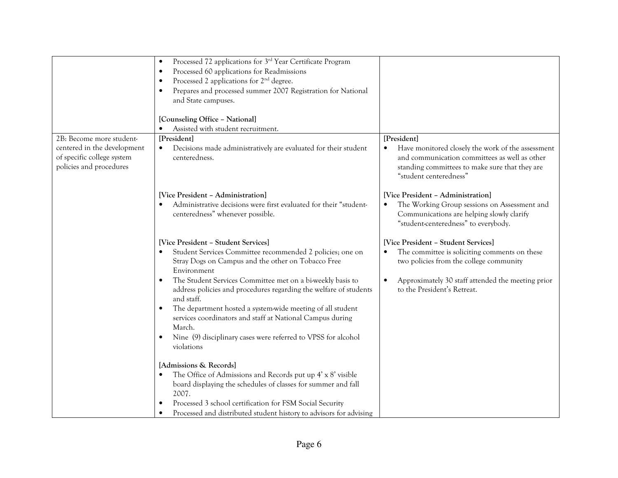|                                                                                                                  | Processed 72 applications for 3 <sup>rd</sup> Year Certificate Program<br>Processed 60 applications for Readmissions<br>Processed 2 applications for 2 <sup>nd</sup> degree.                                                                                                                                                                                                                                                                                                                                                               |                                                                                                                                                                                                                                  |
|------------------------------------------------------------------------------------------------------------------|--------------------------------------------------------------------------------------------------------------------------------------------------------------------------------------------------------------------------------------------------------------------------------------------------------------------------------------------------------------------------------------------------------------------------------------------------------------------------------------------------------------------------------------------|----------------------------------------------------------------------------------------------------------------------------------------------------------------------------------------------------------------------------------|
|                                                                                                                  | Prepares and processed summer 2007 Registration for National<br>and State campuses.                                                                                                                                                                                                                                                                                                                                                                                                                                                        |                                                                                                                                                                                                                                  |
|                                                                                                                  | [Counseling Office - National]<br>Assisted with student recruitment.                                                                                                                                                                                                                                                                                                                                                                                                                                                                       |                                                                                                                                                                                                                                  |
| 2B: Become more student-<br>centered in the development<br>of specific college system<br>policies and procedures | [President]<br>Decisions made administratively are evaluated for their student<br>٠<br>centeredness.                                                                                                                                                                                                                                                                                                                                                                                                                                       | [President]<br>Have monitored closely the work of the assessment<br>and communication committees as well as other<br>standing committees to make sure that they are<br>"student centeredness"                                    |
|                                                                                                                  | [Vice President - Administration]<br>Administrative decisions were first evaluated for their "student-<br>centeredness" whenever possible.                                                                                                                                                                                                                                                                                                                                                                                                 | [Vice President - Administration]<br>The Working Group sessions on Assessment and<br>$\bullet$<br>Communications are helping slowly clarify<br>"student-centeredness" to everybody.                                              |
|                                                                                                                  | [Vice President - Student Services]<br>Student Services Committee recommended 2 policies; one on<br>Stray Dogs on Campus and the other on Tobacco Free<br>Environment<br>The Student Services Committee met on a bi-weekly basis to<br>address policies and procedures regarding the welfare of students<br>and staff.<br>The department hosted a system-wide meeting of all student<br>services coordinators and staff at National Campus during<br>March.<br>Nine (9) disciplinary cases were referred to VPSS for alcohol<br>violations | [Vice President - Student Services]<br>The committee is soliciting comments on these<br>$\bullet$<br>two policies from the college community<br>Approximately 30 staff attended the meeting prior<br>to the President's Retreat. |
|                                                                                                                  | [Admissions & Records]<br>The Office of Admissions and Records put up 4' x 8' visible<br>board displaying the schedules of classes for summer and fall<br>2007.<br>Processed 3 school certification for FSM Social Security<br>Processed and distributed student history to advisors for advising                                                                                                                                                                                                                                          |                                                                                                                                                                                                                                  |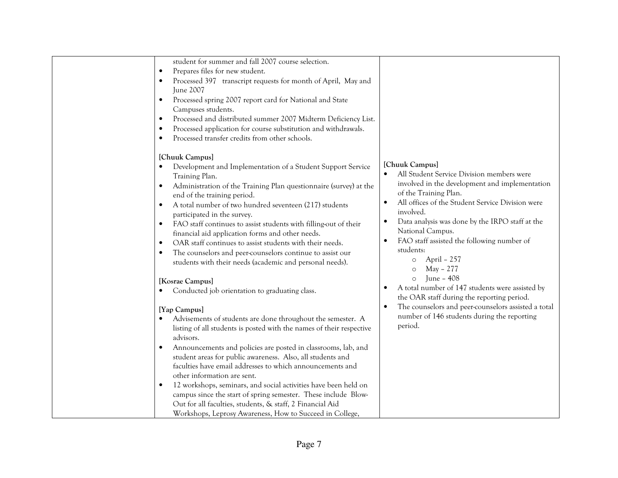| student for summer and fall 2007 course selection.<br>Prepares files for new student.<br>Processed 397 transcript requests for month of April, May and<br>June 2007<br>Processed spring 2007 report card for National and State<br>Campuses students.<br>Processed and distributed summer 2007 Midterm Deficiency List.<br>Processed application for course substitution and withdrawals.<br>Processed transfer credits from other schools.<br>[Chuuk Campus]                                                                                                                                                                                                             |                                                                                                                                                                                                                                                                                                                                                                                                                                                                                                                                                 |
|---------------------------------------------------------------------------------------------------------------------------------------------------------------------------------------------------------------------------------------------------------------------------------------------------------------------------------------------------------------------------------------------------------------------------------------------------------------------------------------------------------------------------------------------------------------------------------------------------------------------------------------------------------------------------|-------------------------------------------------------------------------------------------------------------------------------------------------------------------------------------------------------------------------------------------------------------------------------------------------------------------------------------------------------------------------------------------------------------------------------------------------------------------------------------------------------------------------------------------------|
| Development and Implementation of a Student Support Service<br>Training Plan.<br>Administration of the Training Plan questionnaire (survey) at the<br>$\bullet$<br>end of the training period.<br>A total number of two hundred seventeen (217) students<br>participated in the survey.<br>FAO staff continues to assist students with filling-out of their<br>financial aid application forms and other needs.<br>OAR staff continues to assist students with their needs.<br>The counselors and peer-counselors continue to assist our<br>students with their needs (academic and personal needs).<br>[Kosrae Campus]<br>Conducted job orientation to graduating class. | [Chuuk Campus]<br>All Student Service Division members were<br>$\bullet$<br>involved in the development and implementation<br>of the Training Plan.<br>All offices of the Student Service Division were<br>$\bullet$<br>involved.<br>Data analysis was done by the IRPO staff at the<br>National Campus.<br>FAO staff assisted the following number of<br>students:<br>April - 257<br>$\circ$<br>May - 277<br>$\circ$<br>June – 408<br>$\circ$<br>A total number of 147 students were assisted by<br>the OAR staff during the reporting period. |
| [Yap Campus]<br>Advisements of students are done throughout the semester. A<br>listing of all students is posted with the names of their respective<br>advisors.<br>Announcements and policies are posted in classrooms, lab, and<br>student areas for public awareness. Also, all students and<br>faculties have email addresses to which announcements and<br>other information are sent.<br>12 workshops, seminars, and social activities have been held on<br>campus since the start of spring semester. These include Blow-<br>Out for all faculties, students, & staff, 2 Financial Aid<br>Workshops, Leprosy Awareness, How to Succeed in College,                 | The counselors and peer-counselors assisted a total<br>$\bullet$<br>number of 146 students during the reporting<br>period.                                                                                                                                                                                                                                                                                                                                                                                                                      |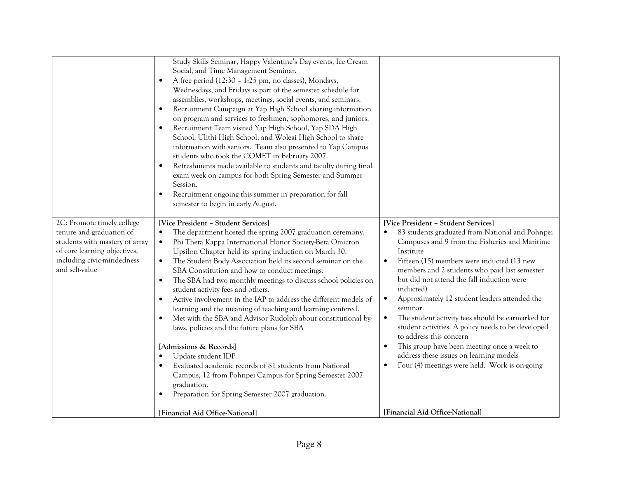|                                                                                                                                                                          | Study Skills Seminar, Happy Valentine's Day events, Ice Cream<br>Social, and Time Management Seminar.<br>A free period (12:30 - 1:25 pm, no classes), Mondays,<br>$\bullet$<br>Wednesdays, and Fridays is part of the semester schedule for<br>assemblies, workshops, meetings, social events, and seminars.<br>Recruitment Campaign at Yap High School sharing information<br>$\bullet$<br>on program and services to freshmen, sophomores, and juniors.<br>Recruitment Team visited Yap High School, Yap SDA High<br>$\bullet$<br>School, Ulithi High School, and Woleai High School to share<br>information with seniors. Team also presented to Yap Campus<br>students who took the COMET in February 2007.<br>Refreshments made available to students and faculty during final<br>$\bullet$<br>exam week on campus for both Spring Semester and Summer<br>Session.<br>Recruitment ongoing this summer in preparation for fall<br>$\bullet$<br>semester to begin in early August.               |                                                                                                                                                                                                                                                                                                                                                                                                                                                                                                                                                                                                                                                                                                                   |
|--------------------------------------------------------------------------------------------------------------------------------------------------------------------------|-----------------------------------------------------------------------------------------------------------------------------------------------------------------------------------------------------------------------------------------------------------------------------------------------------------------------------------------------------------------------------------------------------------------------------------------------------------------------------------------------------------------------------------------------------------------------------------------------------------------------------------------------------------------------------------------------------------------------------------------------------------------------------------------------------------------------------------------------------------------------------------------------------------------------------------------------------------------------------------------------------|-------------------------------------------------------------------------------------------------------------------------------------------------------------------------------------------------------------------------------------------------------------------------------------------------------------------------------------------------------------------------------------------------------------------------------------------------------------------------------------------------------------------------------------------------------------------------------------------------------------------------------------------------------------------------------------------------------------------|
| 2C: Promote timely college<br>tenure and graduation of<br>students with mastery of array<br>of core learning objectives,<br>including civic-mindedness<br>and self-value | <b>Vice President - Student Services</b><br>The department hosted the spring 2007 graduation ceremony.<br>$\bullet$<br>Phi Theta Kappa International Honor Society-Beta Omicron<br>$\bullet$<br>Upsilon Chapter held its spring induction on March 30.<br>The Student Body Association held its second seminar on the<br>$\bullet$<br>SBA Constitution and how to conduct meetings.<br>The SBA had two monthly meetings to discuss school policies on<br>student activity fees and others.<br>Active involvement in the IAP to address the different models of<br>learning and the meaning of teaching and learning centered.<br>Met with the SBA and Advisor Rudolph about constitutional by-<br>laws, policies and the future plans for SBA<br>[Admissions & Records]<br>Update student IDP<br>Evaluated academic records of 81 students from National<br>Campus, 12 from Pohnpei Campus for Spring Semester 2007<br>graduation.<br>Preparation for Spring Semester 2007 graduation.<br>$\bullet$ | [Vice President - Student Services]<br>83 students graduated from National and Pohnpei<br>$\bullet$<br>Campuses and 9 from the Fisheries and Maritime<br>Institute<br>Fifteen (15) members were inducted (13 new<br>$\bullet$<br>members and 2 students who paid last semester<br>but did not attend the fall induction were<br>inducted)<br>Approximately 12 student leaders attended the<br>seminar.<br>The student activity fees should be earmarked for<br>$\bullet$<br>student activities. A policy needs to be developed<br>to address this concern<br>This group have been meeting once a week to<br>address these issues on learning models<br>Four (4) meetings were held. Work is on-going<br>$\bullet$ |
|                                                                                                                                                                          | [Financial Aid Office-National]                                                                                                                                                                                                                                                                                                                                                                                                                                                                                                                                                                                                                                                                                                                                                                                                                                                                                                                                                                     | [Financial Aid Office-National]                                                                                                                                                                                                                                                                                                                                                                                                                                                                                                                                                                                                                                                                                   |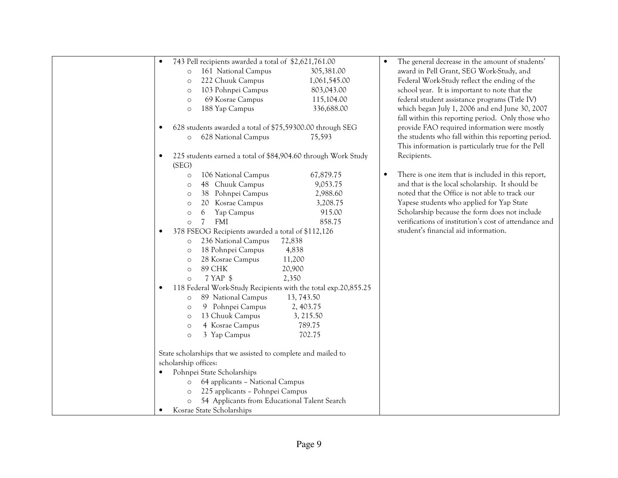| 743 Pell recipients awarded a total of \$2,621,761.00<br>$\bullet$          |              | The general decrease in the amount of students'       |
|-----------------------------------------------------------------------------|--------------|-------------------------------------------------------|
| 161 National Campus<br>$\circ$                                              | 305,381.00   | award in Pell Grant, SEG Work-Study, and              |
| 222 Chuuk Campus<br>$\circ$                                                 | 1,061,545.00 | Federal Work-Study reflect the ending of the          |
| 103 Pohnpei Campus<br>$\circ$                                               | 803,043.00   | school year. It is important to note that the         |
| 69 Kosrae Campus<br>$\circ$                                                 | 115,104.00   | federal student assistance programs (Title IV)        |
| 188 Yap Campus<br>$\circ$                                                   | 336,688.00   | which began July 1, 2006 and end June 30, 2007        |
|                                                                             |              | fall within this reporting period. Only those who     |
| 628 students awarded a total of \$75,59300.00 through SEG<br>$\bullet$      |              | provide FAO required information were mostly          |
| 628 National Campus<br>$\circ$                                              | 75,593       | the students who fall within this reporting period.   |
|                                                                             |              | This information is particularly true for the Pell    |
| 225 students earned a total of \$84,904.60 through Work Study               |              | Recipients.                                           |
| (SEG)                                                                       |              |                                                       |
| 106 National Campus<br>$\circ$                                              | 67,879.75    | There is one item that is included in this report,    |
| 48 Chuuk Campus<br>$\circ$                                                  | 9,053.75     | and that is the local scholarship. It should be       |
| Pohnpei Campus<br>38<br>$\circ$                                             | 2,988.60     | noted that the Office is not able to track our        |
| 20<br>Kosrae Campus<br>$\circ$                                              | 3,208.75     | Yapese students who applied for Yap State             |
| Yap Campus<br>6<br>$\circ$                                                  | 915.00       | Scholarship because the form does not include         |
| 7<br><b>FMI</b><br>$\circ$                                                  | 858.75       | verifications of institution's cost of attendance and |
| 378 FSEOG Recipients awarded a total of \$112,126<br>$\bullet$              |              | student's financial aid information.                  |
| 236 National Campus<br>$\circ$                                              | 72,838       |                                                       |
| 18 Pohnpei Campus<br>$\circ$                                                | 4,838        |                                                       |
| 28 Kosrae Campus<br>$\circ$                                                 | 11,200       |                                                       |
| <b>89 CHK</b><br>$\Omega$                                                   | 20,900       |                                                       |
| 7 YAP \$<br>$\Omega$                                                        | 2,350        |                                                       |
| 118 Federal Work-Study Recipients with the total exp.20,855.25<br>$\bullet$ |              |                                                       |
| 89 National Campus<br>$\circ$                                               | 13, 743.50   |                                                       |
| 9 Pohnpei Campus<br>$\circ$                                                 | 2, 403.75    |                                                       |
| 13 Chuuk Campus<br>$\circ$                                                  | 3, 215.50    |                                                       |
| 4 Kosrae Campus<br>$\circ$                                                  | 789.75       |                                                       |
| 3 Yap Campus<br>$\circ$                                                     | 702.75       |                                                       |
|                                                                             |              |                                                       |
| State scholarships that we assisted to complete and mailed to               |              |                                                       |
| scholarship offices:                                                        |              |                                                       |
| Pohnpei State Scholarships<br>$\bullet$                                     |              |                                                       |
| 64 applicants - National Campus                                             |              |                                                       |
| 225 applicants - Pohnpei Campus<br>$\circ$                                  |              |                                                       |
| 54 Applicants from Educational Talent Search<br>$\circ$                     |              |                                                       |
| Kosrae State Scholarships                                                   |              |                                                       |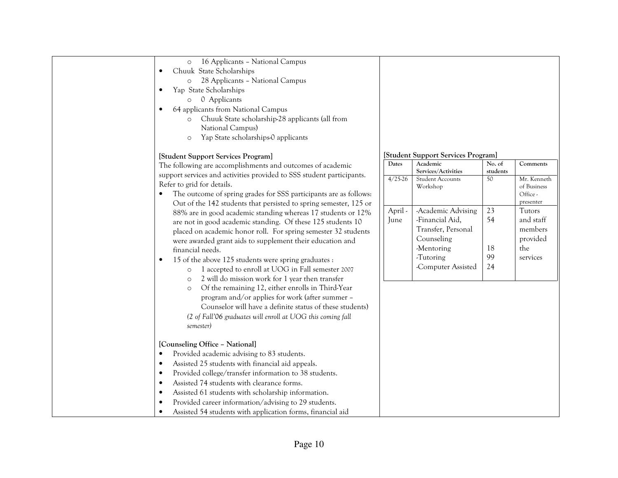| 16 Applicants - National Campus<br>$\circ$<br>Chuuk State Scholarships<br>$\bullet$<br>28 Applicants - National Campus<br>$\circ$<br>Yap State Scholarships<br>$\bullet$<br>0 Applicants<br>$\circ$<br>64 applicants from National Campus<br>$\bullet$<br>Chuuk State scholarship-28 applicants (all from<br>$\circ$<br>National Campus)<br>Yap State scholarships-0 applicants<br>$\circ$                                                                                                                                                                                                                                                                                                                                                                                                                                                                                                                                                                                                                                                                                                        |                                       |                                                                                                                                                                                                                                            |                                                        |                                                                                                                                  |
|---------------------------------------------------------------------------------------------------------------------------------------------------------------------------------------------------------------------------------------------------------------------------------------------------------------------------------------------------------------------------------------------------------------------------------------------------------------------------------------------------------------------------------------------------------------------------------------------------------------------------------------------------------------------------------------------------------------------------------------------------------------------------------------------------------------------------------------------------------------------------------------------------------------------------------------------------------------------------------------------------------------------------------------------------------------------------------------------------|---------------------------------------|--------------------------------------------------------------------------------------------------------------------------------------------------------------------------------------------------------------------------------------------|--------------------------------------------------------|----------------------------------------------------------------------------------------------------------------------------------|
| [Student Support Services Program]<br>The following are accomplishments and outcomes of academic<br>support services and activities provided to SSS student participants.<br>Refer to grid for details.<br>The outcome of spring grades for SSS participants are as follows:<br>Out of the 142 students that persisted to spring semester, 125 or<br>88% are in good academic standing whereas 17 students or 12%<br>are not in good academic standing. Of these 125 students 10<br>placed on academic honor roll. For spring semester 32 students<br>were awarded grant aids to supplement their education and<br>financial needs.<br>15 of the above 125 students were spring graduates :<br>$\bullet$<br>1 accepted to enroll at UOG in Fall semester 2007<br>$\circ$<br>2 will do mission work for 1 year then transfer<br>$\circ$<br>Of the remaining 12, either enrolls in Third-Year<br>$\circ$<br>program and/or applies for work (after summer -<br>Counselor will have a definite status of these students)<br>(2 of Fall'06 graduates will enroll at UOG this coming fall<br>semester) | Dates<br>$4/25-26$<br>April -<br>June | [Student Support Services Program]<br>Academic<br>Services/Activities<br><b>Student Accounts</b><br>Workshop<br>-Academic Advising<br>-Financial Aid,<br>Transfer, Personal<br>Counseling<br>-Mentoring<br>-Tutoring<br>-Computer Assisted | No. of<br>students<br>50<br>23<br>54<br>18<br>99<br>24 | Comments<br>Mr. Kenneth<br>of Business<br>Office -<br>presenter<br>Tutors<br>and staff<br>members<br>provided<br>the<br>services |
| [Counseling Office - National]<br>Provided academic advising to 83 students.<br>$\bullet$<br>Assisted 25 students with financial aid appeals.<br>$\bullet$<br>Provided college/transfer information to 38 students.<br>$\bullet$<br>Assisted 74 students with clearance forms.<br>$\bullet$<br>Assisted 61 students with scholarship information.<br>$\bullet$<br>Provided career information/advising to 29 students.<br>$\bullet$<br>Assisted 54 students with application forms, financial aid<br>$\bullet$                                                                                                                                                                                                                                                                                                                                                                                                                                                                                                                                                                                    |                                       |                                                                                                                                                                                                                                            |                                                        |                                                                                                                                  |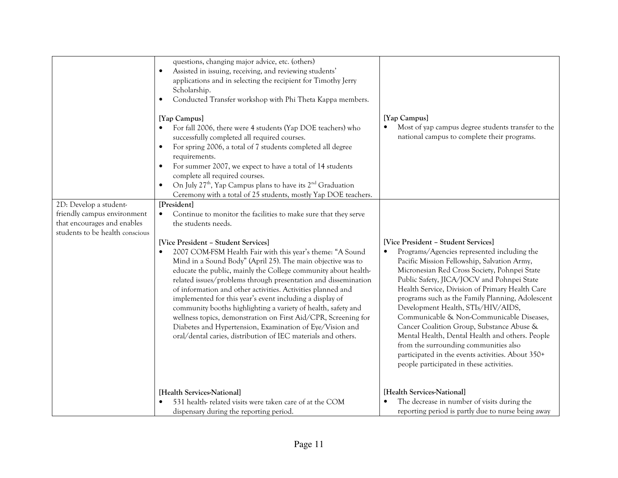|                                                                                                                         | questions, changing major advice, etc. (others)<br>Assisted in issuing, receiving, and reviewing students'<br>$\bullet$<br>applications and in selecting the recipient for Timothy Jerry<br>Scholarship.<br>Conducted Transfer workshop with Phi Theta Kappa members.<br>[Yap Campus]<br>For fall 2006, there were 4 students (Yap DOE teachers) who<br>successfully completed all required courses.<br>For spring 2006, a total of 7 students completed all degree<br>$\bullet$<br>requirements.<br>For summer 2007, we expect to have a total of 14 students<br>complete all required courses.<br>On July 27 <sup>th</sup> , Yap Campus plans to have its 2 <sup>nd</sup> Graduation                                                                                                                               | [Yap Campus]<br>Most of yap campus degree students transfer to the<br>national campus to complete their programs.                                                                                                                                                                                                                                                                                                                                                                                                                                                                                                                                                                |
|-------------------------------------------------------------------------------------------------------------------------|----------------------------------------------------------------------------------------------------------------------------------------------------------------------------------------------------------------------------------------------------------------------------------------------------------------------------------------------------------------------------------------------------------------------------------------------------------------------------------------------------------------------------------------------------------------------------------------------------------------------------------------------------------------------------------------------------------------------------------------------------------------------------------------------------------------------|----------------------------------------------------------------------------------------------------------------------------------------------------------------------------------------------------------------------------------------------------------------------------------------------------------------------------------------------------------------------------------------------------------------------------------------------------------------------------------------------------------------------------------------------------------------------------------------------------------------------------------------------------------------------------------|
|                                                                                                                         | Ceremony with a total of 25 students, mostly Yap DOE teachers.                                                                                                                                                                                                                                                                                                                                                                                                                                                                                                                                                                                                                                                                                                                                                       |                                                                                                                                                                                                                                                                                                                                                                                                                                                                                                                                                                                                                                                                                  |
| 2D: Develop a student-<br>friendly campus environment<br>that encourages and enables<br>students to be health conscious | [President]<br>Continue to monitor the facilities to make sure that they serve<br>$\bullet$<br>the students needs.<br>[Vice President - Student Services]<br>2007 COM-FSM Health Fair with this year's theme: "A Sound<br>Mind in a Sound Body" (April 25). The main objective was to<br>educate the public, mainly the College community about health-<br>related issues/problems through presentation and dissemination<br>of information and other activities. Activities planned and<br>implemented for this year's event including a display of<br>community booths highlighting a variety of health, safety and<br>wellness topics, demonstration on First Aid/CPR, Screening for<br>Diabetes and Hypertension, Examination of Eye/Vision and<br>oral/dental caries, distribution of IEC materials and others. | [Vice President - Student Services]<br>Programs/Agencies represented including the<br>$\bullet$<br>Pacific Mission Fellowship, Salvation Army,<br>Micronesian Red Cross Society, Pohnpei State<br>Public Safety, JICA/JOCV and Pohnpei State<br>Health Service, Division of Primary Health Care<br>programs such as the Family Planning, Adolescent<br>Development Health, STIs/HIV/AIDS,<br>Communicable & Non-Communicable Diseases,<br>Cancer Coalition Group, Substance Abuse &<br>Mental Health, Dental Health and others. People<br>from the surrounding communities also<br>participated in the events activities. About 350+<br>people participated in these activities. |
|                                                                                                                         | [Health Services-National]<br>531 health-related visits were taken care of at the COM<br>dispensary during the reporting period.                                                                                                                                                                                                                                                                                                                                                                                                                                                                                                                                                                                                                                                                                     | [Health Services-National]<br>The decrease in number of visits during the<br>reporting period is partly due to nurse being away                                                                                                                                                                                                                                                                                                                                                                                                                                                                                                                                                  |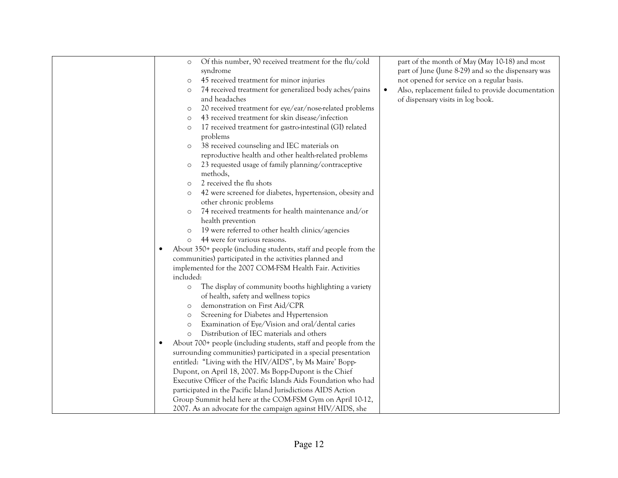|           | Of this number, 90 received treatment for the flu/cold<br>$\circ$          | part of the month of May (May 10-18) and most                  |
|-----------|----------------------------------------------------------------------------|----------------------------------------------------------------|
|           | syndrome                                                                   | part of June (June 8-29) and so the dispensary was             |
|           | 45 received treatment for minor injuries<br>$\circ$                        | not opened for service on a regular basis.                     |
|           | 74 received treatment for generalized body aches/pains<br>$\circ$          | Also, replacement failed to provide documentation<br>$\bullet$ |
|           | and headaches                                                              | of dispensary visits in log book.                              |
|           | 20 received treatment for eye/ear/nose-related problems<br>$\circ$         |                                                                |
|           | 43 received treatment for skin disease/infection<br>$\circ$                |                                                                |
|           | 17 received treatment for gastro-intestinal (GI) related<br>$\circ$        |                                                                |
|           | problems                                                                   |                                                                |
|           | 38 received counseling and IEC materials on<br>$\circ$                     |                                                                |
|           | reproductive health and other health-related problems                      |                                                                |
|           | 23 requested usage of family planning/contraceptive<br>$\circ$<br>methods, |                                                                |
|           | 2 received the flu shots<br>$\circ$                                        |                                                                |
|           | 42 were screened for diabetes, hypertension, obesity and<br>$\circ$        |                                                                |
|           | other chronic problems                                                     |                                                                |
|           | 74 received treatments for health maintenance and/or<br>$\circ$            |                                                                |
|           | health prevention                                                          |                                                                |
|           | 19 were referred to other health clinics/agencies<br>$\circ$               |                                                                |
|           | 44 were for various reasons.                                               |                                                                |
| $\bullet$ | About 350+ people (including students, staff and people from the           |                                                                |
|           | communities) participated in the activities planned and                    |                                                                |
|           | implemented for the 2007 COM-FSM Health Fair. Activities                   |                                                                |
|           | included:                                                                  |                                                                |
|           | The display of community booths highlighting a variety<br>$\circ$          |                                                                |
|           | of health, safety and wellness topics                                      |                                                                |
|           | demonstration on First Aid/CPR<br>$\circ$                                  |                                                                |
|           | Screening for Diabetes and Hypertension<br>$\circ$                         |                                                                |
|           | Examination of Eye/Vision and oral/dental caries<br>$\circ$                |                                                                |
|           | Distribution of IEC materials and others<br>$\Omega$                       |                                                                |
| $\bullet$ | About 700+ people (including students, staff and people from the           |                                                                |
|           | surrounding communities) participated in a special presentation            |                                                                |
|           | entitled: "Living with the HIV/AIDS", by Ms Maire' Bopp-                   |                                                                |
|           | Dupont, on April 18, 2007. Ms Bopp-Dupont is the Chief                     |                                                                |
|           | Executive Officer of the Pacific Islands Aids Foundation who had           |                                                                |
|           | participated in the Pacific Island Jurisdictions AIDS Action               |                                                                |
|           | Group Summit held here at the COM-FSM Gym on April 10-12,                  |                                                                |
|           | 2007. As an advocate for the campaign against HIV/AIDS, she                |                                                                |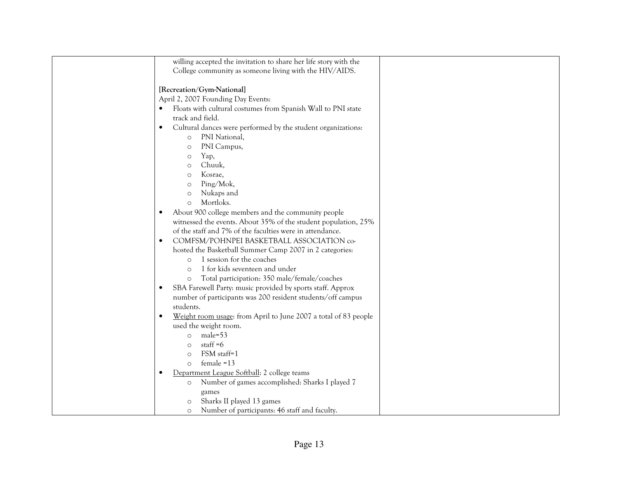| willing accepted the invitation to share her life story with the |  |
|------------------------------------------------------------------|--|
| College community as someone living with the HIV/AIDS.           |  |
|                                                                  |  |
| [Recreation/Gym-National]                                        |  |
| April 2, 2007 Founding Day Events:                               |  |
| Floats with cultural costumes from Spanish Wall to PNI state     |  |
| track and field.                                                 |  |
| Cultural dances were performed by the student organizations:     |  |
| PNI National,<br>$\circ$                                         |  |
| PNI Campus,<br>$\circ$                                           |  |
| Yap,<br>$\circ$                                                  |  |
| Chuuk,<br>$\circ$                                                |  |
| Kosrae,<br>$\circ$                                               |  |
| Ping/Mok,<br>$\circ$                                             |  |
| Nukaps and                                                       |  |
| $\circ$<br>Mortloks.                                             |  |
| $\circ$                                                          |  |
| About 900 college members and the community people               |  |
| witnessed the events. About 35% of the student population, 25%   |  |
| of the staff and 7% of the faculties were in attendance.         |  |
| COMFSM/POHNPEI BASKETBALL ASSOCIATION co-                        |  |
| hosted the Basketball Summer Camp 2007 in 2 categories:          |  |
| 1 session for the coaches<br>$\circ$                             |  |
| 1 for kids seventeen and under<br>$\circ$                        |  |
| Total participation: 350 male/female/coaches<br>$\circ$          |  |
| SBA Farewell Party: music provided by sports staff. Approx       |  |
| number of participants was 200 resident students/off campus      |  |
| students.                                                        |  |
| Weight room usage: from April to June 2007 a total of 83 people  |  |
| used the weight room.                                            |  |
| $male=53$<br>$\circ$                                             |  |
| staff $=6$<br>$\circ$                                            |  |
| FSM staff=1<br>$\circ$                                           |  |
| $f$ emale = 13<br>$\circ$                                        |  |
| Department League Softball: 2 college teams                      |  |
| Number of games accomplished: Sharks I played 7<br>$\circ$       |  |
| games                                                            |  |
| Sharks II played 13 games<br>$\circ$                             |  |
| Number of participants: 46 staff and faculty.<br>$\circ$         |  |
|                                                                  |  |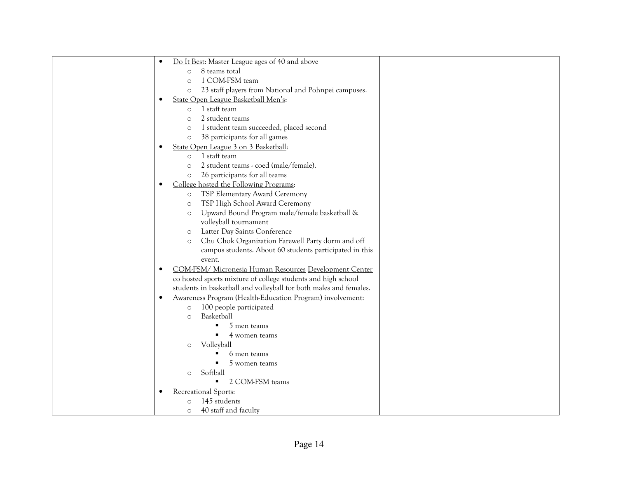| Do It Best: Master League ages of 40 and above<br>$\bullet$            |
|------------------------------------------------------------------------|
| 8 teams total<br>$\Omega$                                              |
| 1 COM-FSM team<br>$\Omega$                                             |
| 23 staff players from National and Pohnpei campuses.<br>$\circ$        |
| State Open League Basketball Men's:<br>$\bullet$                       |
| 1 staff team<br>$\circ$                                                |
| 2 student teams<br>$\Omega$                                            |
| 1 student team succeeded, placed second<br>$\circ$                     |
| 38 participants for all games<br>$\circ$                               |
| State Open League 3 on 3 Basketball:<br>$\bullet$                      |
| 1 staff team<br>$\Omega$                                               |
| 2 student teams - coed (male/female).<br>$\circ$                       |
| 26 participants for all teams<br>$\circ$                               |
| College hosted the Following Programs:<br>$\bullet$                    |
| TSP Elementary Award Ceremony<br>$\circ$                               |
| TSP High School Award Ceremony<br>$\circ$                              |
| Upward Bound Program male/female basketball &<br>$\circ$               |
| volleyball tournament                                                  |
| Latter Day Saints Conference<br>$\circ$                                |
| Chu Chok Organization Farewell Party dorm and off<br>$\circ$           |
| campus students. About 60 students participated in this                |
| event.                                                                 |
| COM-FSM/ Micronesia Human Resources Development Center<br>$\bullet$    |
| co hosted sports mixture of college students and high school           |
| students in basketball and volleyball for both males and females.      |
| Awareness Program (Health-Education Program) involvement:<br>$\bullet$ |
| 100 people participated<br>$\circ$                                     |
| Basketball<br>$\circ$                                                  |
| 5 men teams                                                            |
| 4 women teams                                                          |
| Volleyball<br>$\circ$                                                  |
| 6 men teams                                                            |
| 5 women teams                                                          |
| Softball<br>$\circ$                                                    |
| 2 COM-FSM teams<br>٠                                                   |
| Recreational Sports:<br>$\bullet$                                      |
| 145 students<br>$\circ$                                                |
| 40 staff and faculty<br>$\circ$                                        |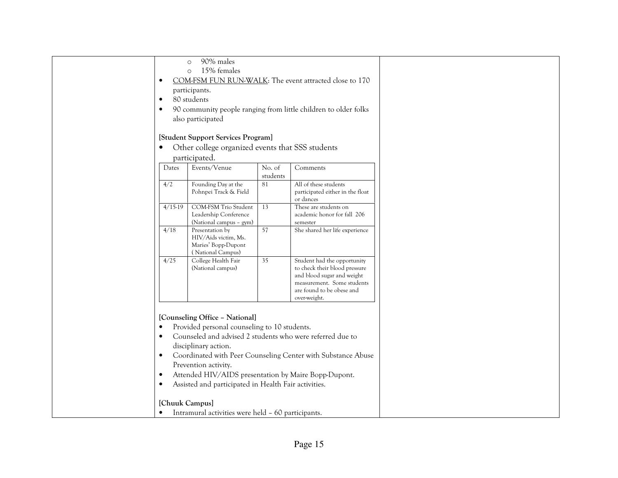| $\bullet$<br>$\bullet$<br>$\bullet$                           | 90% males<br>$\circ$<br>15% females<br>$\circ$<br>participants.<br>80 students<br>also participated                                                                                                                                                                                                         |                    | COM-FSM FUN RUN-WALK: The event attracted close to 170<br>90 community people ranging from little children to older folks                                             |  |
|---------------------------------------------------------------|-------------------------------------------------------------------------------------------------------------------------------------------------------------------------------------------------------------------------------------------------------------------------------------------------------------|--------------------|-----------------------------------------------------------------------------------------------------------------------------------------------------------------------|--|
| $\bullet$                                                     | [Student Support Services Program]<br>Other college organized events that SSS students<br>participated.                                                                                                                                                                                                     |                    |                                                                                                                                                                       |  |
| Dates                                                         | Events/Venue                                                                                                                                                                                                                                                                                                | No. of<br>students | Comments                                                                                                                                                              |  |
| 4/2                                                           | Founding Day at the<br>Pohnpei Track & Field                                                                                                                                                                                                                                                                | 81                 | All of these students<br>participated either in the float<br>or dances                                                                                                |  |
| $4/15-19$                                                     | COM-FSM Trio Student<br>Leadership Conference<br>(National campus - gym)                                                                                                                                                                                                                                    | 13                 | These are students on<br>academic honor for fall 206<br>semester                                                                                                      |  |
| 4/18                                                          | Presentation by<br>HIV/Aids victim, Ms.<br>Maries' Bopp-Dupont<br>(National Campus)                                                                                                                                                                                                                         | 57                 | She shared her life experience                                                                                                                                        |  |
| 4/25                                                          | College Health Fair<br>(National campus)                                                                                                                                                                                                                                                                    | 35                 | Student had the opportunity<br>to check their blood pressure<br>and blood sugar and weight<br>measurement. Some students<br>are found to be obese and<br>over-weight. |  |
| $\bullet$<br>$\bullet$<br>$\bullet$<br>$\bullet$<br>$\bullet$ | [Counseling Office - National]<br>Provided personal counseling to 10 students.<br>Counseled and advised 2 students who were referred due to<br>disciplinary action.<br>Prevention activity.<br>Attended HIV/AIDS presentation by Maire Bopp-Dupont.<br>Assisted and participated in Health Fair activities. |                    | Coordinated with Peer Counseling Center with Substance Abuse                                                                                                          |  |
| [Chuuk Campus]<br>$\bullet$                                   | Intramural activities were held - 60 participants.                                                                                                                                                                                                                                                          |                    |                                                                                                                                                                       |  |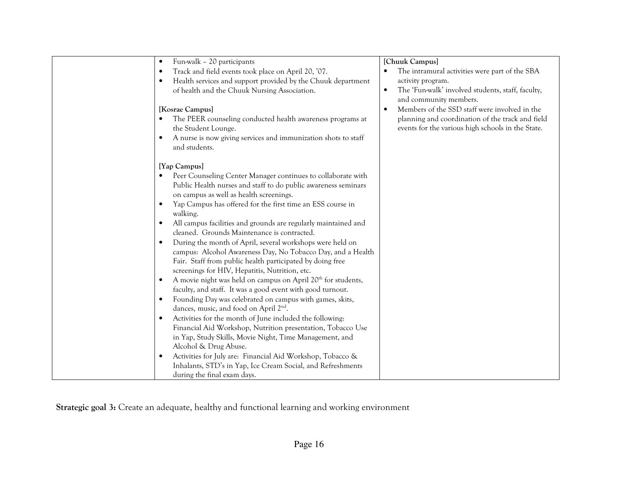| Fun-walk - 20 participants<br>$\bullet$<br>Track and field events took place on April 20, '07.<br>٠<br>Health services and support provided by the Chuuk department<br>$\bullet$<br>of health and the Chuuk Nursing Association.<br>[Kosrae Campus]<br>The PEER counseling conducted health awareness programs at<br>the Student Lounge.<br>A nurse is now giving services and immunization shots to staff<br>$\bullet$<br>and students.                                                                                                                                                                                                                                                                                                                                                                                                                                                                                                                                                                                                                                                                                                                                                                                                                                                                           | [Chuuk Campus]<br>The intramural activities were part of the SBA<br>٠<br>activity program.<br>The 'Fun-walk' involved students, staff, faculty,<br>$\bullet$<br>and community members.<br>Members of the SSD staff were involved in the<br>٠<br>planning and coordination of the track and field<br>events for the various high schools in the State. |
|--------------------------------------------------------------------------------------------------------------------------------------------------------------------------------------------------------------------------------------------------------------------------------------------------------------------------------------------------------------------------------------------------------------------------------------------------------------------------------------------------------------------------------------------------------------------------------------------------------------------------------------------------------------------------------------------------------------------------------------------------------------------------------------------------------------------------------------------------------------------------------------------------------------------------------------------------------------------------------------------------------------------------------------------------------------------------------------------------------------------------------------------------------------------------------------------------------------------------------------------------------------------------------------------------------------------|-------------------------------------------------------------------------------------------------------------------------------------------------------------------------------------------------------------------------------------------------------------------------------------------------------------------------------------------------------|
| [Yap Campus]<br>Peer Counseling Center Manager continues to collaborate with<br>Public Health nurses and staff to do public awareness seminars<br>on campus as well as health screenings.<br>Yap Campus has offered for the first time an ESS course in<br>$\bullet$<br>walking.<br>All campus facilities and grounds are regularly maintained and<br>cleaned. Grounds Maintenance is contracted.<br>During the month of April, several workshops were held on<br>campus: Alcohol Awareness Day, No Tobacco Day, and a Health<br>Fair. Staff from public health participated by doing free<br>screenings for HIV, Hepatitis, Nutrition, etc.<br>A movie night was held on campus on April 20 <sup>th</sup> for students,<br>$\bullet$<br>faculty, and staff. It was a good event with good turnout.<br>Founding Day was celebrated on campus with games, skits,<br>dances, music, and food on April 2 <sup>nd</sup> .<br>Activities for the month of June included the following:<br>$\bullet$<br>Financial Aid Workshop, Nutrition presentation, Tobacco Use<br>in Yap, Study Skills, Movie Night, Time Management, and<br>Alcohol & Drug Abuse.<br>Activities for July are: Financial Aid Workshop, Tobacco &<br>٠<br>Inhalants, STD's in Yap, Ice Cream Social, and Refreshments<br>during the final exam days. |                                                                                                                                                                                                                                                                                                                                                       |

Strategic goal 3: Create an adequate, healthy and functional learning and working environment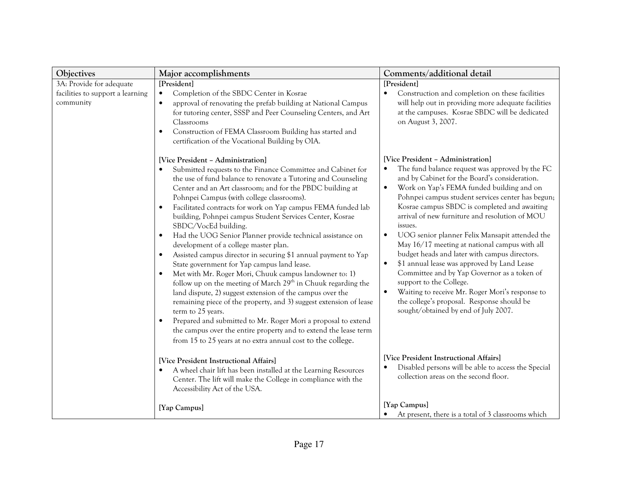| Objectives                                                                | Major accomplishments                                                                                                                                                                                                                                                                                                                                                                                                                                                                                                                                                                                                                                                                                                                                                                                                                                                                                                                                                                                                                                                                                                                                                                                           | Comments/additional detail                                                                                                                                                                                                                                                                                                                                                                                                                                                                                                                                                                                                                                                                                                                                                                                                                  |
|---------------------------------------------------------------------------|-----------------------------------------------------------------------------------------------------------------------------------------------------------------------------------------------------------------------------------------------------------------------------------------------------------------------------------------------------------------------------------------------------------------------------------------------------------------------------------------------------------------------------------------------------------------------------------------------------------------------------------------------------------------------------------------------------------------------------------------------------------------------------------------------------------------------------------------------------------------------------------------------------------------------------------------------------------------------------------------------------------------------------------------------------------------------------------------------------------------------------------------------------------------------------------------------------------------|---------------------------------------------------------------------------------------------------------------------------------------------------------------------------------------------------------------------------------------------------------------------------------------------------------------------------------------------------------------------------------------------------------------------------------------------------------------------------------------------------------------------------------------------------------------------------------------------------------------------------------------------------------------------------------------------------------------------------------------------------------------------------------------------------------------------------------------------|
| 3A: Provide for adequate<br>facilities to support a learning<br>community | [President]<br>Completion of the SBDC Center in Kosrae<br>approval of renovating the prefab building at National Campus<br>$\bullet$<br>for tutoring center, SSSP and Peer Counseling Centers, and Art<br>Classrooms<br>Construction of FEMA Classroom Building has started and<br>$\bullet$<br>certification of the Vocational Building by OIA.                                                                                                                                                                                                                                                                                                                                                                                                                                                                                                                                                                                                                                                                                                                                                                                                                                                                | [President]<br>Construction and completion on these facilities<br>will help out in providing more adequate facilities<br>at the campuses. Kosrae SBDC will be dedicated<br>on August 3, 2007.                                                                                                                                                                                                                                                                                                                                                                                                                                                                                                                                                                                                                                               |
|                                                                           | [Vice President - Administration]<br>Submitted requests to the Finance Committee and Cabinet for<br>the use of fund balance to renovate a Tutoring and Counseling<br>Center and an Art classroom; and for the PBDC building at<br>Pohnpei Campus (with college classrooms).<br>Facilitated contracts for work on Yap campus FEMA funded lab<br>$\bullet$<br>building, Pohnpei campus Student Services Center, Kosrae<br>SBDC/VocEd building.<br>Had the UOG Senior Planner provide technical assistance on<br>$\bullet$<br>development of a college master plan.<br>Assisted campus director in securing \$1 annual payment to Yap<br>$\bullet$<br>State government for Yap campus land lease.<br>Met with Mr. Roger Mori, Chuuk campus landowner to: 1)<br>$\bullet$<br>follow up on the meeting of March 29th in Chuuk regarding the<br>land dispute, 2) suggest extension of the campus over the<br>remaining piece of the property, and 3) suggest extension of lease<br>term to 25 years.<br>Prepared and submitted to Mr. Roger Mori a proposal to extend<br>$\bullet$<br>the campus over the entire property and to extend the lease term<br>from 15 to 25 years at no extra annual cost to the college. | [Vice President - Administration]<br>The fund balance request was approved by the FC<br>$\bullet$<br>and by Cabinet for the Board's consideration.<br>$\bullet$<br>Work on Yap's FEMA funded building and on<br>Pohnpei campus student services center has begun;<br>Kosrae campus SBDC is completed and awaiting<br>arrival of new furniture and resolution of MOU<br>issues.<br>UOG senior planner Felix Mansapit attended the<br>$\bullet$<br>May 16/17 meeting at national campus with all<br>budget heads and later with campus directors.<br>\$1 annual lease was approved by Land Lease<br>$\bullet$<br>Committee and by Yap Governor as a token of<br>support to the College.<br>Waiting to receive Mr. Roger Mori's response to<br>$\bullet$<br>the college's proposal. Response should be<br>sought/obtained by end of July 2007. |
|                                                                           | [Vice President Instructional Affairs]<br>A wheel chair lift has been installed at the Learning Resources<br>Center. The lift will make the College in compliance with the<br>Accessibility Act of the USA.                                                                                                                                                                                                                                                                                                                                                                                                                                                                                                                                                                                                                                                                                                                                                                                                                                                                                                                                                                                                     | [Vice President Instructional Affairs]<br>Disabled persons will be able to access the Special<br>collection areas on the second floor.                                                                                                                                                                                                                                                                                                                                                                                                                                                                                                                                                                                                                                                                                                      |
|                                                                           | [Yap Campus]                                                                                                                                                                                                                                                                                                                                                                                                                                                                                                                                                                                                                                                                                                                                                                                                                                                                                                                                                                                                                                                                                                                                                                                                    | [Yap Campus]<br>At present, there is a total of 3 classrooms which                                                                                                                                                                                                                                                                                                                                                                                                                                                                                                                                                                                                                                                                                                                                                                          |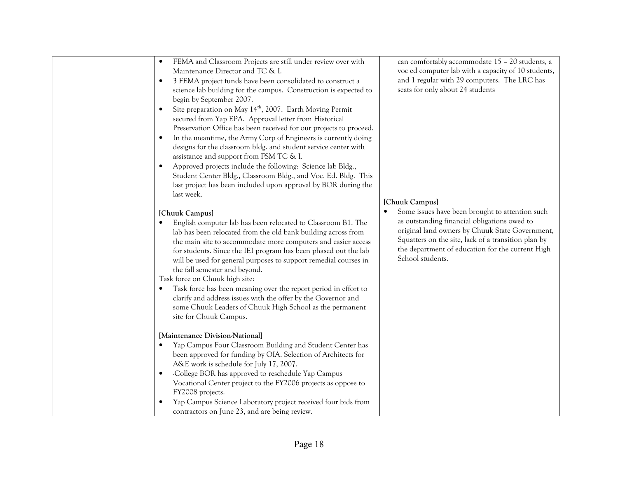| FEMA and Classroom Projects are still under review over with<br>$\bullet$<br>Maintenance Director and TC & I.<br>3 FEMA project funds have been consolidated to construct a<br>$\bullet$<br>science lab building for the campus. Construction is expected to<br>begin by September 2007.<br>Site preparation on May 14 <sup>th</sup> , 2007. Earth Moving Permit<br>$\bullet$<br>secured from Yap EPA. Approval letter from Historical<br>Preservation Office has been received for our projects to proceed.<br>In the meantime, the Army Corp of Engineers is currently doing<br>$\bullet$<br>designs for the classroom bldg. and student service center with<br>assistance and support from FSM TC & I.<br>Approved projects include the following: Science lab Bldg.,<br>$\bullet$<br>Student Center Bldg., Classroom Bldg., and Voc. Ed. Bldg. This<br>last project has been included upon approval by BOR during the<br>last week.<br>[Chuuk Campus]<br>English computer lab has been relocated to Classroom B1. The<br>lab has been relocated from the old bank building across from<br>the main site to accommodate more computers and easier access<br>for students. Since the IEI program has been phased out the lab<br>will be used for general purposes to support remedial courses in<br>the fall semester and beyond.<br>Task force on Chuuk high site:<br>Task force has been meaning over the report period in effort to<br>$\bullet$<br>clarify and address issues with the offer by the Governor and<br>some Chuuk Leaders of Chuuk High School as the permanent<br>site for Chuuk Campus. | can comfortably accommodate 15 - 20 students, a<br>voc ed computer lab with a capacity of 10 students,<br>and 1 regular with 29 computers. The LRC has<br>seats for only about 24 students<br>[Chuuk Campus]<br>Some issues have been brought to attention such<br>$\bullet$<br>as outstanding financial obligations owed to<br>original land owners by Chuuk State Government,<br>Squatters on the site, lack of a transition plan by<br>the department of education for the current High<br>School students. |
|--------------------------------------------------------------------------------------------------------------------------------------------------------------------------------------------------------------------------------------------------------------------------------------------------------------------------------------------------------------------------------------------------------------------------------------------------------------------------------------------------------------------------------------------------------------------------------------------------------------------------------------------------------------------------------------------------------------------------------------------------------------------------------------------------------------------------------------------------------------------------------------------------------------------------------------------------------------------------------------------------------------------------------------------------------------------------------------------------------------------------------------------------------------------------------------------------------------------------------------------------------------------------------------------------------------------------------------------------------------------------------------------------------------------------------------------------------------------------------------------------------------------------------------------------------------------------------------------------------------|----------------------------------------------------------------------------------------------------------------------------------------------------------------------------------------------------------------------------------------------------------------------------------------------------------------------------------------------------------------------------------------------------------------------------------------------------------------------------------------------------------------|
| [Maintenance Division-National]<br>Yap Campus Four Classroom Building and Student Center has<br>$\bullet$<br>been approved for funding by OIA. Selection of Architects for<br>A&E work is schedule for July 17, 2007.<br>-College BOR has approved to reschedule Yap Campus<br>$\bullet$<br>Vocational Center project to the FY2006 projects as oppose to<br>FY2008 projects.<br>Yap Campus Science Laboratory project received four bids from<br>contractors on June 23, and are being review.                                                                                                                                                                                                                                                                                                                                                                                                                                                                                                                                                                                                                                                                                                                                                                                                                                                                                                                                                                                                                                                                                                              |                                                                                                                                                                                                                                                                                                                                                                                                                                                                                                                |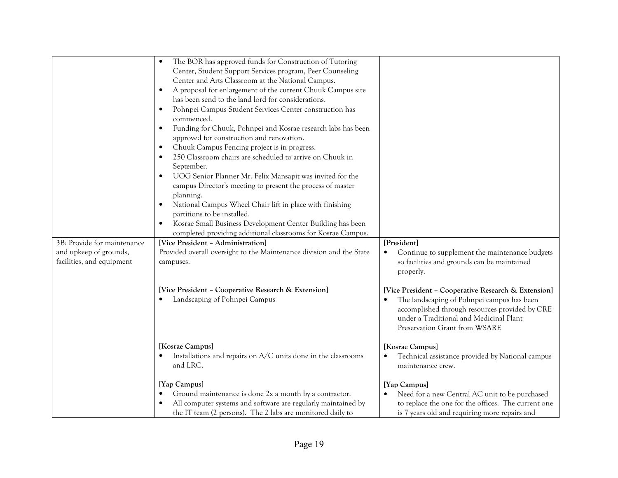|                                                     | The BOR has approved funds for Construction of Tutoring<br>Center, Student Support Services program, Peer Counseling<br>Center and Arts Classroom at the National Campus.<br>A proposal for enlargement of the current Chuuk Campus site<br>has been send to the land lord for considerations.<br>Pohnpei Campus Student Services Center construction has<br>commenced.<br>Funding for Chuuk, Pohnpei and Kosrae research labs has been<br>approved for construction and renovation.<br>Chuuk Campus Fencing project is in progress.<br>250 Classroom chairs are scheduled to arrive on Chuuk in<br>September.<br>UOG Senior Planner Mr. Felix Mansapit was invited for the<br>campus Director's meeting to present the process of master<br>planning.<br>National Campus Wheel Chair lift in place with finishing<br>partitions to be installed.<br>Kosrae Small Business Development Center Building has been<br>completed providing additional classrooms for Kosrae Campus. |                                                                                                                                                                                                                                 |
|-----------------------------------------------------|---------------------------------------------------------------------------------------------------------------------------------------------------------------------------------------------------------------------------------------------------------------------------------------------------------------------------------------------------------------------------------------------------------------------------------------------------------------------------------------------------------------------------------------------------------------------------------------------------------------------------------------------------------------------------------------------------------------------------------------------------------------------------------------------------------------------------------------------------------------------------------------------------------------------------------------------------------------------------------|---------------------------------------------------------------------------------------------------------------------------------------------------------------------------------------------------------------------------------|
| 3B: Provide for maintenance                         | [Vice President - Administration]                                                                                                                                                                                                                                                                                                                                                                                                                                                                                                                                                                                                                                                                                                                                                                                                                                                                                                                                               | [President]                                                                                                                                                                                                                     |
| and upkeep of grounds,<br>facilities, and equipment | Provided overall oversight to the Maintenance division and the State<br>campuses.                                                                                                                                                                                                                                                                                                                                                                                                                                                                                                                                                                                                                                                                                                                                                                                                                                                                                               | Continue to supplement the maintenance budgets<br>so facilities and grounds can be maintained<br>properly.                                                                                                                      |
|                                                     | [Vice President - Cooperative Research & Extension]<br>Landscaping of Pohnpei Campus                                                                                                                                                                                                                                                                                                                                                                                                                                                                                                                                                                                                                                                                                                                                                                                                                                                                                            | [Vice President - Cooperative Research & Extension]<br>The landscaping of Pohnpei campus has been<br>accomplished through resources provided by CRE<br>under a Traditional and Medicinal Plant<br>Preservation Grant from WSARE |
|                                                     | [Kosrae Campus]<br>Installations and repairs on A/C units done in the classrooms<br>and LRC.                                                                                                                                                                                                                                                                                                                                                                                                                                                                                                                                                                                                                                                                                                                                                                                                                                                                                    | [Kosrae Campus]<br>Technical assistance provided by National campus<br>maintenance crew.                                                                                                                                        |
|                                                     | [Yap Campus]                                                                                                                                                                                                                                                                                                                                                                                                                                                                                                                                                                                                                                                                                                                                                                                                                                                                                                                                                                    | [Yap Campus]                                                                                                                                                                                                                    |
|                                                     | Ground maintenance is done 2x a month by a contractor.<br>All computer systems and software are regularly maintained by<br>the IT team (2 persons). The 2 labs are monitored daily to                                                                                                                                                                                                                                                                                                                                                                                                                                                                                                                                                                                                                                                                                                                                                                                           | Need for a new Central AC unit to be purchased<br>to replace the one for the offices. The current one<br>is 7 years old and requiring more repairs and                                                                          |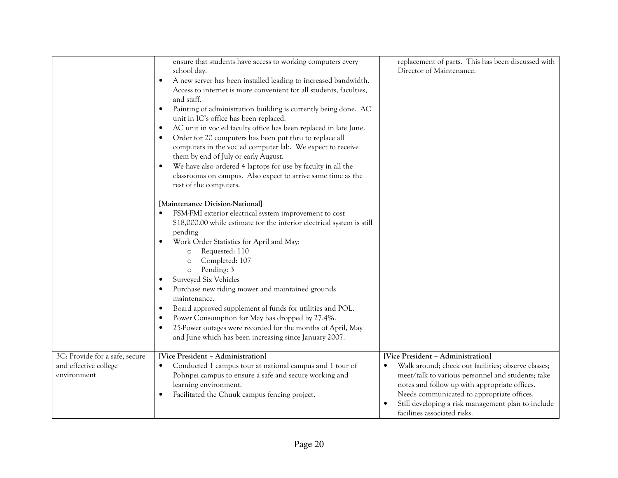|                                                                        | ensure that students have access to working computers every<br>school day.<br>A new server has been installed leading to increased bandwidth.<br>$\bullet$<br>Access to internet is more convenient for all students, faculties,<br>and staff.<br>Painting of administration building is currently being done. AC<br>$\bullet$<br>unit in IC's office has been replaced.<br>AC unit in voc ed faculty office has been replaced in late June.<br>$\bullet$<br>Order for 20 computers has been put thru to replace all<br>computers in the voc ed computer lab. We expect to receive<br>them by end of July or early August.<br>We have also ordered 4 laptops for use by faculty in all the<br>classrooms on campus. Also expect to arrive same time as the<br>rest of the computers. | replacement of parts. This has been discussed with<br>Director of Maintenance.                                                                                                                                                                                                                                                     |
|------------------------------------------------------------------------|--------------------------------------------------------------------------------------------------------------------------------------------------------------------------------------------------------------------------------------------------------------------------------------------------------------------------------------------------------------------------------------------------------------------------------------------------------------------------------------------------------------------------------------------------------------------------------------------------------------------------------------------------------------------------------------------------------------------------------------------------------------------------------------|------------------------------------------------------------------------------------------------------------------------------------------------------------------------------------------------------------------------------------------------------------------------------------------------------------------------------------|
|                                                                        | [Maintenance Division-National]<br>FSM-FMI exterior electrical system improvement to cost<br>\$18,000.00 while estimate for the interior electrical system is still<br>pending<br>Work Order Statistics for April and May:<br>Requested: 110<br>$\circ$<br>Completed: 107<br>$\circ$<br>Pending: 3<br>$\circ$<br>Surveyed Six Vehicles<br>Purchase new riding mower and maintained grounds<br>maintenance.<br>Board approved supplement al funds for utilities and POL.<br>Power Consumption for May has dropped by 27.4%.<br>25-Power outages were recorded for the months of April, May<br>and June which has been increasing since January 2007.                                                                                                                                  |                                                                                                                                                                                                                                                                                                                                    |
| 3C: Provide for a safe, secure<br>and effective college<br>environment | [Vice President - Administration]<br>Conducted 1 campus tour at national campus and 1 tour of<br>$\bullet$<br>Pohnpei campus to ensure a safe and secure working and<br>learning environment.<br>Facilitated the Chuuk campus fencing project.                                                                                                                                                                                                                                                                                                                                                                                                                                                                                                                                       | [Vice President - Administration]<br>Walk around; check out facilities; observe classes;<br>meet/talk to various personnel and students; take<br>notes and follow up with appropriate offices.<br>Needs communicated to appropriate offices.<br>Still developing a risk management plan to include<br>facilities associated risks. |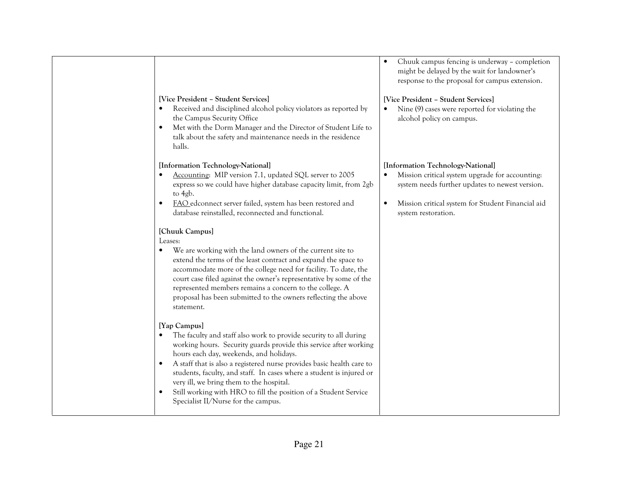# [Vice President – Student Services]

- $\bullet$  Received and disciplined alcohol policy violators as reported by the Campus Security Office
- $\bullet$  Met with the Dorm Manager and the Director of Student Life to talk about the safety and maintenance needs in the residence halls.

#### [Information Technology-National]

- • Accounting: MIP version 7.1, updated SQL server to 2005 express so we could have higher database capacity limit, from 2gb to 4gb.
- $\bullet$  FAO edconnect server failed, system has been restored and database reinstalled, reconnected and functional.

## [Chuuk Campus]

#### Leases:

• We are working with the land owners of the current site to extend the terms of the least contract and expand the space to accommodate more of the college need for facility. To date, the court case filed against the owner's representative by some of the represented members remains a concern to the college. A proposal has been submitted to the owners reflecting the above statement.

## [Yap Campus]

- The faculty and staff also work to provide security to all during working hours. Security guards provide this service after working hours each day, weekends, and holidays.
- A staff that is also a registered nurse provides basic health care to  $\bullet$ students, faculty, and staff. In cases where a student is injured or very ill, we bring them to the hospital.
- $\bullet$  Still working with HRO to fill the position of a Student Service Specialist II/Nurse for the campus.

• Chuuk campus fencing is underway – completion might be delayed by the wait for landowner's response to the proposal for campus extension.

#### [Vice President – Student Services]

• Nine (9) cases were reported for violating the alcohol policy on campus.

#### [Information Technology-National]

- • Mission critical system upgrade for accounting: system needs further updates to newest version.
- • Mission critical system for Student Financial aid system restoration.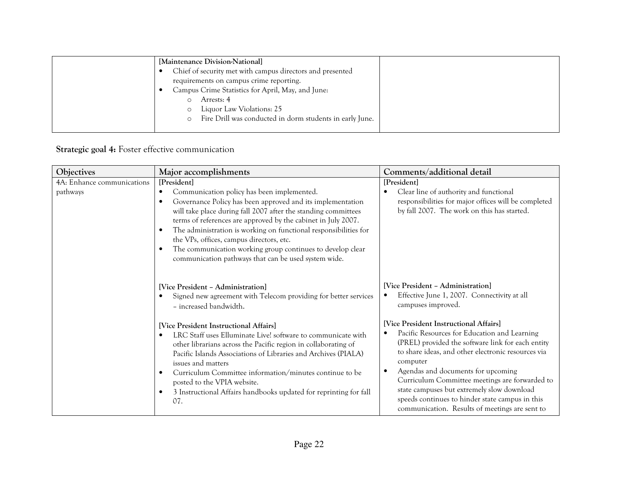| [Maintenance Division-National]                                     |  |
|---------------------------------------------------------------------|--|
| Chief of security met with campus directors and presented           |  |
| requirements on campus crime reporting.                             |  |
| Campus Crime Statistics for April, May, and June:                   |  |
| Arrests: 4                                                          |  |
| Liquor Law Violations: 25<br>$\circ$                                |  |
| Fire Drill was conducted in dorm students in early June.<br>$\circ$ |  |
|                                                                     |  |

# Strategic goal 4: Foster effective communication

| Objectives                             | Major accomplishments                                                                                                                                                                                                                                                                                                                                                                                                                                                                                                                                                                                           | Comments/additional detail                                                                                                                                                                                                                                                                                                                                                                                                                                                                                                                                         |
|----------------------------------------|-----------------------------------------------------------------------------------------------------------------------------------------------------------------------------------------------------------------------------------------------------------------------------------------------------------------------------------------------------------------------------------------------------------------------------------------------------------------------------------------------------------------------------------------------------------------------------------------------------------------|--------------------------------------------------------------------------------------------------------------------------------------------------------------------------------------------------------------------------------------------------------------------------------------------------------------------------------------------------------------------------------------------------------------------------------------------------------------------------------------------------------------------------------------------------------------------|
| 4A: Enhance communications<br>pathways | [President]<br>Communication policy has been implemented.<br>$\bullet$<br>Governance Policy has been approved and its implementation<br>$\bullet$<br>will take place during fall 2007 after the standing committees<br>terms of references are approved by the cabinet in July 2007.<br>The administration is working on functional responsibilities for<br>$\bullet$<br>the VPs, offices, campus directors, etc.<br>The communication working group continues to develop clear<br>$\bullet$<br>communication pathways that can be used system wide.                                                            | [President]<br>Clear line of authority and functional<br>responsibilities for major offices will be completed<br>by fall 2007. The work on this has started.                                                                                                                                                                                                                                                                                                                                                                                                       |
|                                        | [Vice President - Administration]<br>Signed new agreement with Telecom providing for better services<br>- increased bandwidth.<br>[Vice President Instructional Affairs]<br>LRC Staff uses Elluminate Live! software to communicate with<br>$\bullet$<br>other librarians across the Pacific region in collaborating of<br>Pacific Islands Associations of Libraries and Archives (PIALA)<br>issues and matters<br>Curriculum Committee information/minutes continue to be<br>$\bullet$<br>posted to the VPIA website.<br>3 Instructional Affairs handbooks updated for reprinting for fall<br>$\bullet$<br>07. | [Vice President - Administration]<br>Effective June 1, 2007. Connectivity at all<br>campuses improved.<br>[Vice President Instructional Affairs]<br>Pacific Resources for Education and Learning<br>(PREL) provided the software link for each entity<br>to share ideas, and other electronic resources via<br>computer<br>Agendas and documents for upcoming<br>Curriculum Committee meetings are forwarded to<br>state campuses but extremely slow download<br>speeds continues to hinder state campus in this<br>communication. Results of meetings are sent to |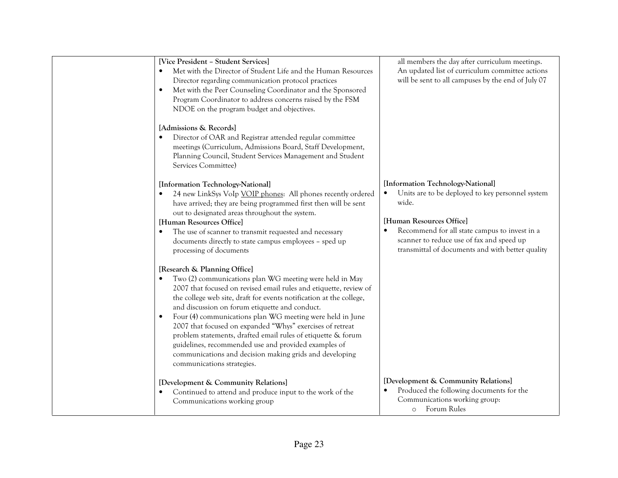| [Vice President - Student Services]<br>Met with the Director of Student Life and the Human Resources<br>$\bullet$<br>Director regarding communication protocol practices<br>Met with the Peer Counseling Coordinator and the Sponsored<br>$\bullet$<br>Program Coordinator to address concerns raised by the FSM<br>NDOE on the program budget and objectives.                                                                                                                                                                                                                                                                                             | all members the day after curriculum meetings.<br>An updated list of curriculum committee actions<br>will be sent to all campuses by the end of July 07                                                                                                                      |
|------------------------------------------------------------------------------------------------------------------------------------------------------------------------------------------------------------------------------------------------------------------------------------------------------------------------------------------------------------------------------------------------------------------------------------------------------------------------------------------------------------------------------------------------------------------------------------------------------------------------------------------------------------|------------------------------------------------------------------------------------------------------------------------------------------------------------------------------------------------------------------------------------------------------------------------------|
| [Admissions & Records]<br>Director of OAR and Registrar attended regular committee<br>meetings (Curriculum, Admissions Board, Staff Development,<br>Planning Council, Student Services Management and Student<br>Services Committee)                                                                                                                                                                                                                                                                                                                                                                                                                       |                                                                                                                                                                                                                                                                              |
| [Information Technology-National]<br>24 new LinkSys VoIp VOIP phones: All phones recently ordered<br>have arrived; they are being programmed first then will be sent<br>out to designated areas throughout the system.<br>[Human Resources Office]<br>The use of scanner to transmit requested and necessary<br>documents directly to state campus employees - sped up<br>processing of documents                                                                                                                                                                                                                                                          | [Information Technology-National]<br>Units are to be deployed to key personnel system<br>wide.<br>[Human Resources Office]<br>Recommend for all state campus to invest in a<br>scanner to reduce use of fax and speed up<br>transmittal of documents and with better quality |
| [Research & Planning Office]<br>Two (2) communications plan WG meeting were held in May<br>$\bullet$<br>2007 that focused on revised email rules and etiquette, review of<br>the college web site, draft for events notification at the college,<br>and discussion on forum etiquette and conduct.<br>Four (4) communications plan WG meeting were held in June<br>$\bullet$<br>2007 that focused on expanded "Whys" exercises of retreat<br>problem statements, drafted email rules of etiquette & forum<br>guidelines, recommended use and provided examples of<br>communications and decision making grids and developing<br>communications strategies. |                                                                                                                                                                                                                                                                              |
| [Development & Community Relations]<br>Continued to attend and produce input to the work of the<br>$\bullet$<br>Communications working group                                                                                                                                                                                                                                                                                                                                                                                                                                                                                                               | [Development & Community Relations]<br>Produced the following documents for the<br>Communications working group:<br>Forum Rules<br>$\circ$                                                                                                                                   |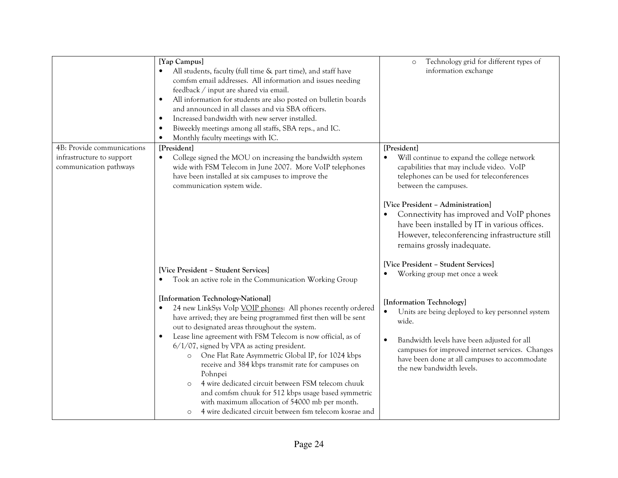|                                                                                   | [Yap Campus]<br>All students, faculty (full time & part time), and staff have<br>comfsm email addresses. All information and issues needing<br>feedback / input are shared via email.<br>All information for students are also posted on bulletin boards<br>and announced in all classes and via SBA officers.<br>Increased bandwidth with new server installed.<br>$\bullet$ | Technology grid for different types of<br>$\circ$<br>information exchange                                                                                                                                        |
|-----------------------------------------------------------------------------------|-------------------------------------------------------------------------------------------------------------------------------------------------------------------------------------------------------------------------------------------------------------------------------------------------------------------------------------------------------------------------------|------------------------------------------------------------------------------------------------------------------------------------------------------------------------------------------------------------------|
|                                                                                   | Biweekly meetings among all staffs, SBA reps., and IC.<br>$\bullet$<br>Monthly faculty meetings with IC.<br>$\bullet$                                                                                                                                                                                                                                                         |                                                                                                                                                                                                                  |
| 4B: Provide communications<br>infrastructure to support<br>communication pathways | [President]<br>College signed the MOU on increasing the bandwidth system<br>$\bullet$<br>wide with FSM Telecom in June 2007. More VoIP telephones<br>have been installed at six campuses to improve the<br>communication system wide.                                                                                                                                         | [President]<br>Will continue to expand the college network<br>capabilities that may include video. VoIP<br>telephones can be used for teleconferences<br>between the campuses.                                   |
|                                                                                   |                                                                                                                                                                                                                                                                                                                                                                               | [Vice President - Administration]<br>Connectivity has improved and VoIP phones<br>have been installed by IT in various offices.<br>However, teleconferencing infrastructure still<br>remains grossly inadequate. |
|                                                                                   | [Vice President - Student Services]<br>Took an active role in the Communication Working Group                                                                                                                                                                                                                                                                                 | [Vice President - Student Services]<br>Working group met once a week                                                                                                                                             |
|                                                                                   | [Information Technology-National]<br>24 new LinkSys VoIp VOIP phones: All phones recently ordered<br>have arrived; they are being programmed first then will be sent<br>out to designated areas throughout the system.                                                                                                                                                        | [Information Technology]<br>Units are being deployed to key personnel system<br>$\bullet$<br>wide.                                                                                                               |
|                                                                                   | Lease line agreement with FSM Telecom is now official, as of<br>$6/1/07$ , signed by VPA as acting president.<br>One Flat Rate Asymmetric Global IP, for 1024 kbps<br>$\circ$<br>receive and 384 kbps transmit rate for campuses on<br>Pohnpei                                                                                                                                | Bandwidth levels have been adjusted for all<br>$\bullet$<br>campuses for improved internet services. Changes<br>have been done at all campuses to accommodate<br>the new bandwidth levels.                       |
|                                                                                   | 4 wire dedicated circuit between FSM telecom chuuk<br>$\circ$<br>and comfsm chuuk for 512 kbps usage based symmetric<br>with maximum allocation of 54000 mb per month.<br>4 wire dedicated circuit between fsm telecom kosrae and<br>$\circ$                                                                                                                                  |                                                                                                                                                                                                                  |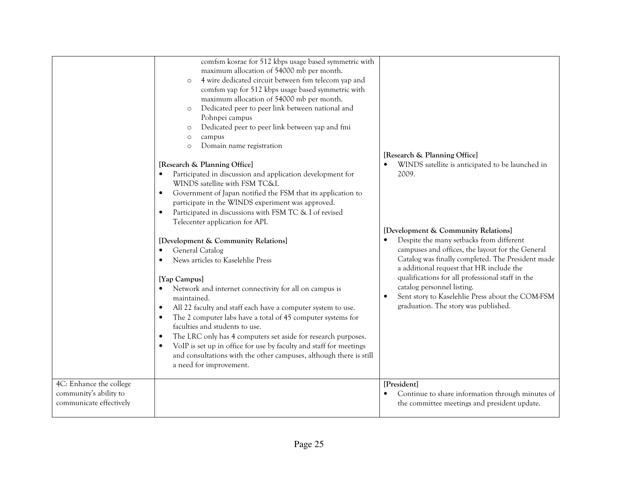|                                                                              | comfsm kosrae for 512 kbps usage based symmetric with<br>maximum allocation of 54000 mb per month.<br>4 wire dedicated circuit between fsm telecom yap and<br>$\circ$<br>comfsm yap for 512 kbps usage based symmetric with<br>maximum allocation of 54000 mb per month.<br>Dedicated peer to peer link between national and<br>$\circ$<br>Pohnpei campus<br>Dedicated peer to peer link between yap and fmi<br>$\circ$<br>campus<br>$\circ$<br>Domain name registration<br>$\circ$<br>[Research & Planning Office]<br>Participated in discussion and application development for<br>WINDS satellite with FSM TC&I.<br>Government of Japan notified the FSM that its application to<br>$\bullet$<br>participate in the WINDS experiment was approved.<br>Participated in discussions with FSM TC & I of revised<br>$\bullet$<br>Telecenter application for API.<br>[Development & Community Relations]<br>General Catalog<br>News articles to Kaselehlie Press<br>[Yap Campus]<br>Network and internet connectivity for all on campus is<br>maintained.<br>All 22 faculty and staff each have a computer system to use.<br>$\bullet$<br>The 2 computer labs have a total of 45 computer systems for<br>faculties and students to use.<br>The LRC only has 4 computers set aside for research purposes.<br>$\bullet$<br>VoIP is set up in office for use by faculty and staff for meetings<br>and consultations with the other campuses, although there is still<br>a need for improvement. | [Research & Planning Office]<br>WINDS satellite is anticipated to be launched in<br>2009.<br>[Development & Community Relations]<br>Despite the many setbacks from different<br>campuses and offices, the layout for the General<br>Catalog was finally completed. The President made<br>a additional request that HR include the<br>qualifications for all professional staff in the<br>catalog personnel listing.<br>Sent story to Kaselehlie Press about the COM-FSM<br>graduation. The story was published. |
|------------------------------------------------------------------------------|--------------------------------------------------------------------------------------------------------------------------------------------------------------------------------------------------------------------------------------------------------------------------------------------------------------------------------------------------------------------------------------------------------------------------------------------------------------------------------------------------------------------------------------------------------------------------------------------------------------------------------------------------------------------------------------------------------------------------------------------------------------------------------------------------------------------------------------------------------------------------------------------------------------------------------------------------------------------------------------------------------------------------------------------------------------------------------------------------------------------------------------------------------------------------------------------------------------------------------------------------------------------------------------------------------------------------------------------------------------------------------------------------------------------------------------------------------------------------------------------|-----------------------------------------------------------------------------------------------------------------------------------------------------------------------------------------------------------------------------------------------------------------------------------------------------------------------------------------------------------------------------------------------------------------------------------------------------------------------------------------------------------------|
| 4C: Enhance the college<br>community's ability to<br>communicate effectively |                                                                                                                                                                                                                                                                                                                                                                                                                                                                                                                                                                                                                                                                                                                                                                                                                                                                                                                                                                                                                                                                                                                                                                                                                                                                                                                                                                                                                                                                                            | [President]<br>Continue to share information through minutes of<br>the committee meetings and president update.                                                                                                                                                                                                                                                                                                                                                                                                 |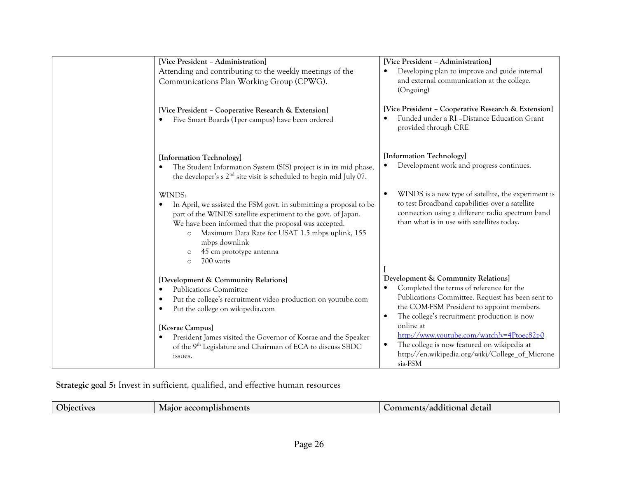| [Vice President - Administration]                                                                                                                                                                                                                                                                                                                                | [Vice President - Administration]                                                                                                                                                                                                           |
|------------------------------------------------------------------------------------------------------------------------------------------------------------------------------------------------------------------------------------------------------------------------------------------------------------------------------------------------------------------|---------------------------------------------------------------------------------------------------------------------------------------------------------------------------------------------------------------------------------------------|
| Attending and contributing to the weekly meetings of the                                                                                                                                                                                                                                                                                                         | Developing plan to improve and guide internal                                                                                                                                                                                               |
| Communications Plan Working Group (CPWG).                                                                                                                                                                                                                                                                                                                        | and external communication at the college.<br>(Ongoing)                                                                                                                                                                                     |
| [Vice President - Cooperative Research & Extension]<br>Five Smart Boards (1per campus) have been ordered<br>$\bullet$                                                                                                                                                                                                                                            | [Vice President - Cooperative Research & Extension]<br>Funded under a RI - Distance Education Grant<br>provided through CRE                                                                                                                 |
| [Information Technology]<br>The Student Information System (SIS) project is in its mid phase,<br>$\bullet$<br>the developer's s 2 <sup>nd</sup> site visit is scheduled to begin mid July 07.                                                                                                                                                                    | [Information Technology]<br>Development work and progress continues.                                                                                                                                                                        |
| WINDS:<br>In April, we assisted the FSM govt. in submitting a proposal to be<br>$\bullet$<br>part of the WINDS satellite experiment to the govt. of Japan.<br>We have been informed that the proposal was accepted.<br>Maximum Data Rate for USAT 1.5 mbps uplink, 155<br>$\circ$<br>mbps downlink<br>45 cm prototype antenna<br>$\circ$<br>700 watts<br>$\circ$ | WINDS is a new type of satellite, the experiment is<br>$\bullet$<br>to test Broadband capabilities over a satellite<br>connection using a different radio spectrum band<br>than what is in use with satellites today.                       |
| [Development & Community Relations]<br><b>Publications Committee</b><br>$\bullet$<br>Put the college's recruitment video production on youtube.com<br>$\bullet$<br>Put the college on wikipedia.com<br>$\bullet$                                                                                                                                                 | Development & Community Relations]<br>Completed the terms of reference for the<br>Publications Committee. Request has been sent to<br>the COM-FSM President to appoint members.<br>The college's recruitment production is now<br>$\bullet$ |
| [Kosrae Campus]<br>President James visited the Governor of Kosrae and the Speaker<br>$\bullet$<br>of the 9 <sup>th</sup> Legislature and Chairman of ECA to discuss SBDC<br>issues.                                                                                                                                                                              | online at<br>http://www.youtube.com/watch?v=4Ptoec82z-0<br>The college is now featured on wikipedia at<br>http://en.wikipedia.org/wiki/College_of_Microne<br>sia-FSM                                                                        |

Strategic goal 5: Invest in sufficient, qualified, and effective human resources

|  | — ·<br>')biect<br>:tıves | ments<br>$\sim$ $\alpha$ complised.<br>IVI Ə1 | detail<br>$\sim$ $\sim$ $\sim$<br>$\Omega$<br>.<br>uu<br>3/4001<br>ліаі |
|--|--------------------------|-----------------------------------------------|-------------------------------------------------------------------------|
|--|--------------------------|-----------------------------------------------|-------------------------------------------------------------------------|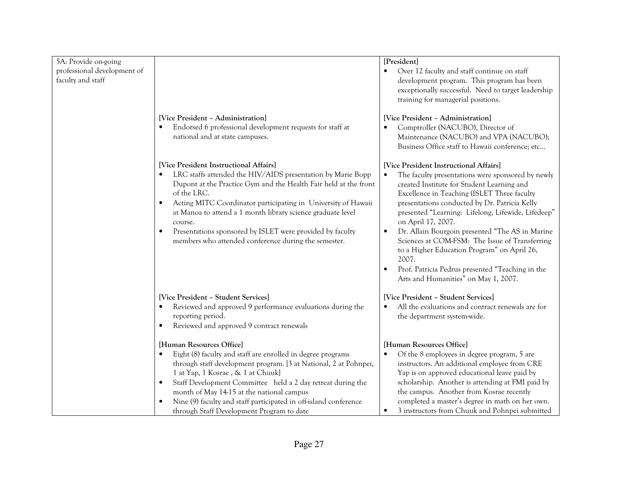| 5A: Provide on-going        |                                                                                                                                 | [President]                                                                                       |
|-----------------------------|---------------------------------------------------------------------------------------------------------------------------------|---------------------------------------------------------------------------------------------------|
| professional development of |                                                                                                                                 | Over 12 faculty and staff continue on staff                                                       |
| faculty and staff           |                                                                                                                                 | development program. This program has been<br>exceptionally successful. Need to target leadership |
|                             |                                                                                                                                 | training for managerial positions.                                                                |
|                             |                                                                                                                                 |                                                                                                   |
|                             | [Vice President - Administration]                                                                                               | [Vice President - Administration]                                                                 |
|                             | Endorsed 6 professional development requests for staff at                                                                       | Comptroller (NACUBO), Director of                                                                 |
|                             | national and at state campuses.                                                                                                 | Maintenance (NACUBO) and VPA (NACUBO);<br>Business Office staff to Hawaii conference; etc         |
|                             |                                                                                                                                 |                                                                                                   |
|                             | [Vice President Instructional Affairs]                                                                                          | [Vice President Instructional Affairs]                                                            |
|                             | LRC staffs attended the HIV/AIDS presentation by Marie Bopp<br>Dupont at the Practice Gym and the Health Fair held at the front | The faculty presentations were sponsored by newly<br>created Institute for Student Learning and   |
|                             | of the LRC.                                                                                                                     | Excellence in Teaching (ISLET Three faculty                                                       |
|                             | Acting MITC Coordinator participating in University of Hawaii                                                                   | presentations conducted by Dr. Patricia Kelly                                                     |
|                             | at Manoa to attend a 1 month library science graduate level                                                                     | presented "Learning: Lifelong, Lifewide, Lifedeep"                                                |
|                             | course.<br>Presentations sponsored by ISLET were provided by faculty                                                            | on April 17, 2007.<br>Dr. Allain Bourgoin presented "The AS in Marine"<br>$\bullet$               |
|                             | members who attended conference during the semester.                                                                            | Sciences at COM-FSM: The Issue of Transferring                                                    |
|                             |                                                                                                                                 | to a Higher Education Program" on April 26,                                                       |
|                             |                                                                                                                                 | 2007.                                                                                             |
|                             |                                                                                                                                 | Prof. Patricia Pedrus presented "Teaching in the                                                  |
|                             |                                                                                                                                 | Arts and Humanities" on May 1, 2007.                                                              |
|                             | [Vice President - Student Services]                                                                                             | [Vice President - Student Services]                                                               |
|                             | Reviewed and approved 9 performance evaluations during the                                                                      | All the evaluations and contract renewals are for                                                 |
|                             | reporting period.<br>Reviewed and approved 9 contract renewals                                                                  | the department system-wide.                                                                       |
|                             |                                                                                                                                 |                                                                                                   |
|                             | [Human Resources Office]                                                                                                        | [Human Resources Office]                                                                          |
|                             | Eight (8) faculty and staff are enrolled in degree programs                                                                     | Of the 8 employees in degree program, 5 are                                                       |
|                             | through staff development program. [3 at National, 2 at Pohnpei,                                                                | instructors. An additional employee from CRE                                                      |
|                             | 1 at Yap, 1 Kosrae, & 1 at Chuuk]<br>Staff Development Committee held a 2 day retreat during the                                | Yap is on approved educational leave paid by<br>scholarship. Another is attending at FMI paid by  |
|                             | month of May 14-15 at the national campus                                                                                       | the campus. Another from Kosrae recently                                                          |
|                             | Nine (9) faculty and staff participated in off-island conference                                                                | completed a master's degree in math on her own.                                                   |
|                             | through Staff Development Program to date                                                                                       | 3 instructors from Chuuk and Pohnpei submitted                                                    |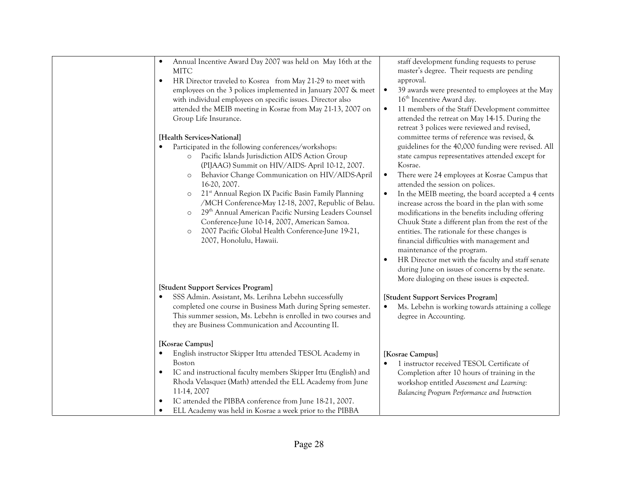| Annual Incentive Award Day 2007 was held on May 16th at the<br>$\bullet$<br><b>MITC</b><br>HR Director traveled to Kosrea from May 21-29 to meet with<br>$\bullet$<br>employees on the 3 polices implemented in January 2007 & meet<br>with individual employees on specific issues. Director also<br>attended the MEIB meeting in Kosrae from May 21-13, 2007 on<br>Group Life Insurance.<br>[Health Services-National]<br>Participated in the following conferences/workshops:<br>Pacific Islands Jurisdiction AIDS Action Group<br>$\circ$<br>(PIJAAG) Summit on HIV/AIDS-April 10-12, 2007.<br>Behavior Change Communication on HIV/AIDS-April<br>$\circ$<br>16-20, 2007.<br>21 <sup>st</sup> Annual Region IX Pacific Basin Family Planning<br>$\circ$<br>/MCH Conference-May 12-18, 2007, Republic of Belau.<br>29th Annual American Pacific Nursing Leaders Counsel<br>$\circ$<br>Conference-June 10-14, 2007, American Samoa.<br>2007 Pacific Global Health Conference-June 19-21,<br>$\circ$<br>2007, Honolulu, Hawaii. | staff development funding requests to peruse<br>master's degree. Their requests are pending<br>approval.<br>39 awards were presented to employees at the May<br>$\bullet$<br>16 <sup>th</sup> Incentive Award day.<br>11 members of the Staff Development committee<br>$\bullet$<br>attended the retreat on May 14-15. During the<br>retreat 3 polices were reviewed and revised,<br>committee terms of reference was revised, &<br>guidelines for the 40,000 funding were revised. All<br>state campus representatives attended except for<br>Kosrae.<br>There were 24 employees at Kosrae Campus that<br>$\bullet$<br>attended the session on polices.<br>In the MEIB meeting, the board accepted a 4 cents<br>$\bullet$<br>increase across the board in the plan with some<br>modifications in the benefits including offering<br>Chuuk State a different plan from the rest of the<br>entities. The rationale for these changes is<br>financial difficulties with management and<br>maintenance of the program.<br>HR Director met with the faculty and staff senate<br>$\bullet$<br>during June on issues of concerns by the senate.<br>More dialoging on these issues is expected. |
|----------------------------------------------------------------------------------------------------------------------------------------------------------------------------------------------------------------------------------------------------------------------------------------------------------------------------------------------------------------------------------------------------------------------------------------------------------------------------------------------------------------------------------------------------------------------------------------------------------------------------------------------------------------------------------------------------------------------------------------------------------------------------------------------------------------------------------------------------------------------------------------------------------------------------------------------------------------------------------------------------------------------------------|------------------------------------------------------------------------------------------------------------------------------------------------------------------------------------------------------------------------------------------------------------------------------------------------------------------------------------------------------------------------------------------------------------------------------------------------------------------------------------------------------------------------------------------------------------------------------------------------------------------------------------------------------------------------------------------------------------------------------------------------------------------------------------------------------------------------------------------------------------------------------------------------------------------------------------------------------------------------------------------------------------------------------------------------------------------------------------------------------------------------------------------------------------------------------------------|
| [Student Support Services Program]<br>SSS Admin. Assistant, Ms. Lerihna Lebehn successfully<br>$\bullet$<br>completed one course in Business Math during Spring semester.<br>This summer session, Ms. Lebehn is enrolled in two courses and<br>they are Business Communication and Accounting II.                                                                                                                                                                                                                                                                                                                                                                                                                                                                                                                                                                                                                                                                                                                                | [Student Support Services Program]<br>Ms. Lebehn is working towards attaining a college<br>$\bullet$<br>degree in Accounting.                                                                                                                                                                                                                                                                                                                                                                                                                                                                                                                                                                                                                                                                                                                                                                                                                                                                                                                                                                                                                                                            |
| [Kosrae Campus]<br>English instructor Skipper Ittu attended TESOL Academy in<br>$\bullet$<br><b>Boston</b><br>IC and instructional faculty members Skipper Ittu (English) and<br>$\bullet$<br>Rhoda Velasquez (Math) attended the ELL Academy from June<br>11-14, 2007<br>IC attended the PIBBA conference from June 18-21, 2007.<br>ELL Academy was held in Kosrae a week prior to the PIBBA<br>$\bullet$                                                                                                                                                                                                                                                                                                                                                                                                                                                                                                                                                                                                                       | [Kosrae Campus]<br>1 instructor received TESOL Certificate of<br>$\bullet$<br>Completion after 10 hours of training in the<br>workshop entitled Assessment and Learning:<br>Balancing Program Performance and Instruction                                                                                                                                                                                                                                                                                                                                                                                                                                                                                                                                                                                                                                                                                                                                                                                                                                                                                                                                                                |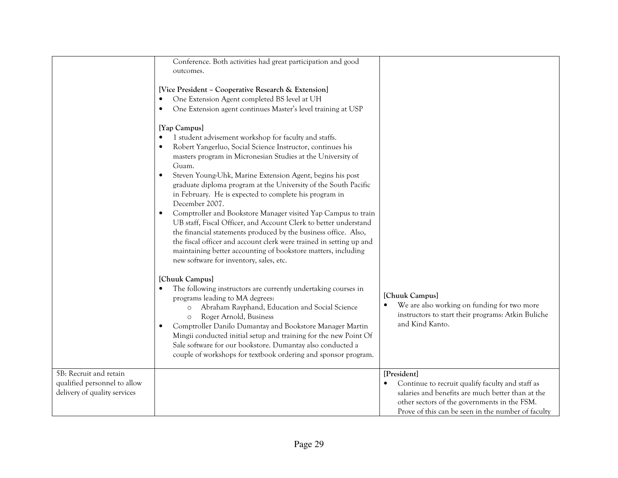|                                                                                        | Conference. Both activities had great participation and good<br>outcomes.<br>[Vice President - Cooperative Research & Extension]<br>One Extension Agent completed BS level at UH<br>One Extension agent continues Master's level training at USP<br>[Yap Campus]<br>1 student advisement workshop for faculty and staffs.<br>Robert Yangerluo, Social Science Instructor, continues his<br>masters program in Micronesian Studies at the University of                                                                                                                                                       |                                                                                                                                                                                                                            |
|----------------------------------------------------------------------------------------|--------------------------------------------------------------------------------------------------------------------------------------------------------------------------------------------------------------------------------------------------------------------------------------------------------------------------------------------------------------------------------------------------------------------------------------------------------------------------------------------------------------------------------------------------------------------------------------------------------------|----------------------------------------------------------------------------------------------------------------------------------------------------------------------------------------------------------------------------|
|                                                                                        | Guam.<br>Steven Young-Uhk, Marine Extension Agent, begins his post<br>graduate diploma program at the University of the South Pacific<br>in February. He is expected to complete his program in<br>December 2007.<br>Comptroller and Bookstore Manager visited Yap Campus to train<br>UB staff, Fiscal Officer, and Account Clerk to better understand<br>the financial statements produced by the business office. Also,<br>the fiscal officer and account clerk were trained in setting up and<br>maintaining better accounting of bookstore matters, including<br>new software for inventory, sales, etc. |                                                                                                                                                                                                                            |
|                                                                                        | [Chuuk Campus]<br>The following instructors are currently undertaking courses in<br>programs leading to MA degrees:<br>Abraham Rayphand, Education and Social Science<br>$\circ$<br>Roger Arnold, Business<br>$\circ$<br>Comptroller Danilo Dumantay and Bookstore Manager Martin<br>Mingii conducted initial setup and training for the new Point Of<br>Sale software for our bookstore. Dumantay also conducted a<br>couple of workshops for textbook ordering and sponsor program.                                                                                                                        | [Chuuk Campus]<br>We are also working on funding for two more<br>instructors to start their programs: Atkin Buliche<br>and Kind Kanto.                                                                                     |
| 5B: Recruit and retain<br>qualified personnel to allow<br>delivery of quality services |                                                                                                                                                                                                                                                                                                                                                                                                                                                                                                                                                                                                              | [President]<br>Continue to recruit qualify faculty and staff as<br>salaries and benefits are much better than at the<br>other sectors of the governments in the FSM.<br>Prove of this can be seen in the number of faculty |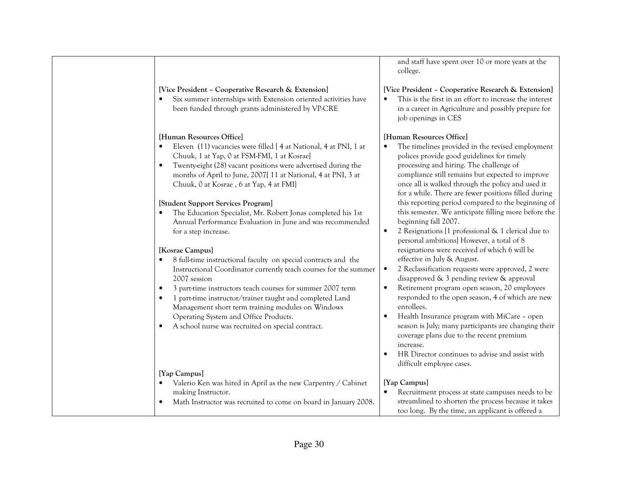and staff have spent over 10 or more years at the college.

## [Vice President – Cooperative Research & Extension]

 This is the first in an effort to increase the interest •in a career in Agriculture and possibly prepare forjob openings in CES

# [Human Resources Office]

- • The timelines provided in the revised employment polices provide good guidelines for timely processing and hiring. The challenge of compliance still remains but expected to improve once all is walked through the policy and used it for a while. There are fewer positions filled during this reporting period compared to the beginning of this semester. We anticipate filling more before the beginning fall 2007.
- • 2 Resignations [1 professional & 1 clerical due to personal ambitions] However, a total of 8 resignations were received of which 6 will be effective in July & August.
- • 2 Reclassification requests were approved, 2 were disapproved & 3 pending review & approval
- • Retirement program open season, 20 employees responded to the open season, 4 of which are new enrollees.
- • Health Insurance program with MiCare – open season is July; many participants are changing their coverage plans due to the recent premium increase.
	- • HR Director continues to advise and assist with difficult employee cases.

# [Yap Campus]

 Math Instructor was recruited to come on board in January 2008.  $\bullet$  Recruitment process at state campuses needs to be streamlined to shorten the process because it takestoo long. By the time, an applicant is offered a

| • 8 full-time instructional faculty on special contracts and the |
|------------------------------------------------------------------|
| Instructional Coordinator currently teach courses for the summer |
| 2007 session                                                     |

[Vice President – Cooperative Research & Extension]

Chuuk, 1 at Yap, 0 at FSM-FMI, 1 at Kosrae]

Chuuk, 0 at Kosrae , 6 at Yap, 4 at FMI]

[Student Support Services Program]

 $\bullet$ 

 $\bullet$ 

•

 $\bullet$ 

[Human Resources Office]

for a step increase.

[Kosrae Campus]

[Yap Campus]

making Instructor.

•

•

Six summer internships with Extension oriented activities have

Eleven (11) vacancies were filled [ 4 at National, 4 at PNI, 1 at

 Twenty-eight (28) vacant positions were advertised during the months of April to June, 2007[ 11 at National, 4 at PNI, 3 at

 The Education Specialist, Mr. Robert Jonas completed his 1st Annual Performance Evaluation in June and was recommended

been funded through grants administered by VP-CRE

- $\bullet$ 3 part-time instructors teach courses for summer 2007 term
- • 1 part-time instructor/trainer taught and completed Land Management short term training modules on Windows Operating System and Office Products.

Valerio Ken was hired in April as the new Carpentry / Cabinet

 $\bullet$ A school nurse was recruited on special contract.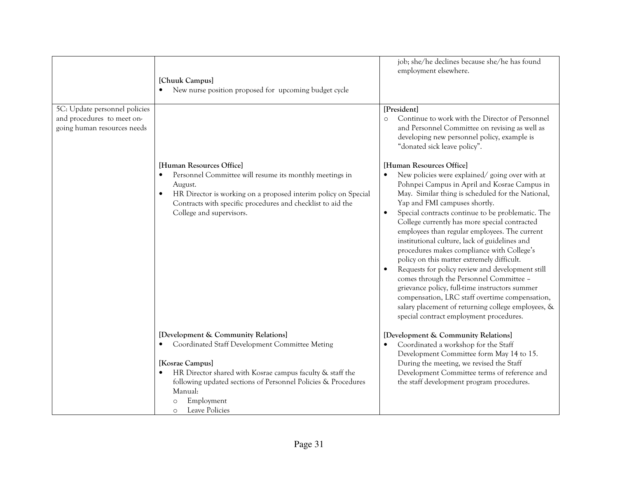|                                                                                            | [Chuuk Campus]<br>New nurse position proposed for upcoming budget cycle                                                                                                                                                                                                                                 | job; she/he declines because she/he has found<br>employment elsewhere.                                                                                                                                                                                                                                                                                                                                                                                                                                                                                                                                                                                                                                                                                                                                                   |
|--------------------------------------------------------------------------------------------|---------------------------------------------------------------------------------------------------------------------------------------------------------------------------------------------------------------------------------------------------------------------------------------------------------|--------------------------------------------------------------------------------------------------------------------------------------------------------------------------------------------------------------------------------------------------------------------------------------------------------------------------------------------------------------------------------------------------------------------------------------------------------------------------------------------------------------------------------------------------------------------------------------------------------------------------------------------------------------------------------------------------------------------------------------------------------------------------------------------------------------------------|
| 5C: Update personnel policies<br>and procedures to meet on-<br>going human resources needs |                                                                                                                                                                                                                                                                                                         | [President]<br>Continue to work with the Director of Personnel<br>$\circ$<br>and Personnel Committee on revising as well as<br>developing new personnel policy, example is<br>"donated sick leave policy".                                                                                                                                                                                                                                                                                                                                                                                                                                                                                                                                                                                                               |
|                                                                                            | [Human Resources Office]<br>Personnel Committee will resume its monthly meetings in<br>August.<br>HR Director is working on a proposed interim policy on Special<br>Contracts with specific procedures and checklist to aid the<br>College and supervisors.                                             | [Human Resources Office]<br>New policies were explained/going over with at<br>Pohnpei Campus in April and Kosrae Campus in<br>May. Similar thing is scheduled for the National,<br>Yap and FMI campuses shortly.<br>Special contracts continue to be problematic. The<br>College currently has more special contracted<br>employees than regular employees. The current<br>institutional culture, lack of guidelines and<br>procedures makes compliance with College's<br>policy on this matter extremely difficult.<br>Requests for policy review and development still<br>comes through the Personnel Committee -<br>grievance policy, full-time instructors summer<br>compensation, LRC staff overtime compensation,<br>salary placement of returning college employees, &<br>special contract employment procedures. |
|                                                                                            | [Development & Community Relations]<br>Coordinated Staff Development Committee Meting<br>[Kosrae Campus]<br>HR Director shared with Kosrae campus faculty & staff the<br>following updated sections of Personnel Policies & Procedures<br>Manual:<br>Employment<br>$\circ$<br>Leave Policies<br>$\circ$ | [Development & Community Relations]<br>Coordinated a workshop for the Staff<br>Development Committee form May 14 to 15.<br>During the meeting, we revised the Staff<br>Development Committee terms of reference and<br>the staff development program procedures.                                                                                                                                                                                                                                                                                                                                                                                                                                                                                                                                                         |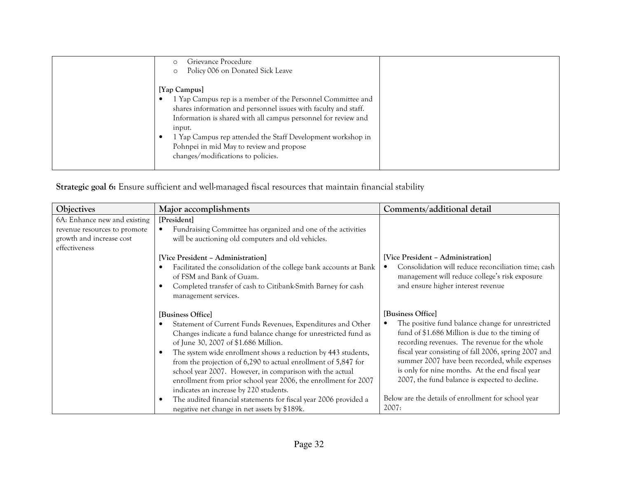| Grievance Procedure<br>Policy 006 on Donated Sick Leave                                                                                                                                                                                                                                                                                                                     |  |
|-----------------------------------------------------------------------------------------------------------------------------------------------------------------------------------------------------------------------------------------------------------------------------------------------------------------------------------------------------------------------------|--|
| [Yap Campus]<br>1 Yap Campus rep is a member of the Personnel Committee and<br>shares information and personnel issues with faculty and staff.<br>Information is shared with all campus personnel for review and<br>input.<br>1 Yap Campus rep attended the Staff Development workshop in<br>Pohnpei in mid May to review and propose<br>changes/modifications to policies. |  |

Strategic goal 6: Ensure sufficient and well-managed fiscal resources that maintain financial stability

| Objectives                                                                                                | Major accomplishments                                                                                                                                                                                                                                                                                                                                                                                                                                                                                   | Comments/additional detail                                                                                                                                                                                                                                                                                                                                                                |
|-----------------------------------------------------------------------------------------------------------|---------------------------------------------------------------------------------------------------------------------------------------------------------------------------------------------------------------------------------------------------------------------------------------------------------------------------------------------------------------------------------------------------------------------------------------------------------------------------------------------------------|-------------------------------------------------------------------------------------------------------------------------------------------------------------------------------------------------------------------------------------------------------------------------------------------------------------------------------------------------------------------------------------------|
| 6A: Enhance new and existing<br>revenue resources to promote<br>growth and increase cost<br>effectiveness | [President]<br>Fundraising Committee has organized and one of the activities<br>will be auctioning old computers and old vehicles.<br>[Vice President - Administration]<br>Facilitated the consolidation of the college bank accounts at Bank<br>of FSM and Bank of Guam.                                                                                                                                                                                                                               | [Vice President - Administration]<br>Consolidation will reduce reconciliation time; cash<br>management will reduce college's risk exposure                                                                                                                                                                                                                                                |
|                                                                                                           | Completed transfer of cash to Citibank-Smith Barney for cash<br>management services.                                                                                                                                                                                                                                                                                                                                                                                                                    | and ensure higher interest revenue                                                                                                                                                                                                                                                                                                                                                        |
|                                                                                                           | [Business Office]<br>Statement of Current Funds Revenues, Expenditures and Other<br>Changes indicate a fund balance change for unrestricted fund as<br>of June 30, 2007 of \$1.686 Million.<br>The system wide enrollment shows a reduction by 443 students,<br>from the projection of 6,290 to actual enrollment of 5,847 for<br>school year 2007. However, in comparison with the actual<br>enrollment from prior school year 2006, the enrollment for 2007<br>indicates an increase by 220 students. | [Business Office]<br>The positive fund balance change for unrestricted<br>fund of \$1.686 Million is due to the timing of<br>recording revenues. The revenue for the whole<br>fiscal year consisting of fall 2006, spring 2007 and<br>summer 2007 have been recorded, while expenses<br>is only for nine months. At the end fiscal year<br>2007, the fund balance is expected to decline. |
|                                                                                                           | The audited financial statements for fiscal year 2006 provided a<br>negative net change in net assets by \$189k.                                                                                                                                                                                                                                                                                                                                                                                        | Below are the details of enrollment for school year<br>2007:                                                                                                                                                                                                                                                                                                                              |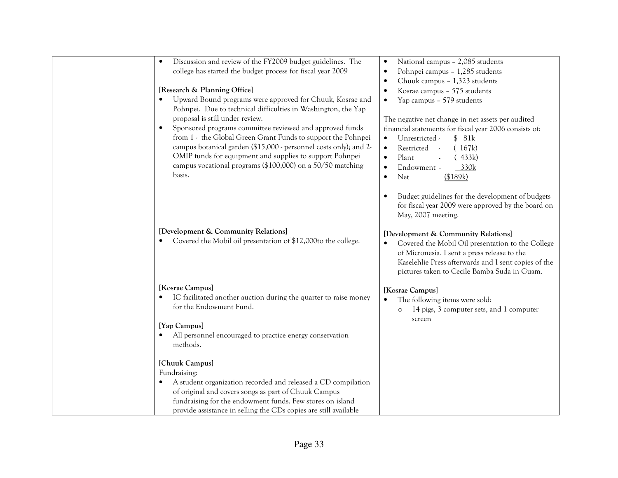| Discussion and review of the FY2009 budget guidelines. The<br>$\bullet$<br>college has started the budget process for fiscal year 2009<br>[Research & Planning Office]<br>Upward Bound programs were approved for Chuuk, Kosrae and<br>Pohnpei. Due to technical difficulties in Washington, the Yap<br>proposal is still under review.<br>Sponsored programs committee reviewed and approved funds<br>from 1 - the Global Green Grant Funds to support the Pohnpei<br>campus botanical garden (\$15,000 - personnel costs only); and 2-<br>OMIP funds for equipment and supplies to support Pohnpei<br>campus vocational programs (\$100,000) on a 50/50 matching<br>basis. | National campus - 2,085 students<br>Pohnpei campus - 1,285 students<br>Chuuk campus - 1,323 students<br>Kosrae campus - 575 students<br>Yap campus - 579 students<br>$\bullet$<br>The negative net change in net assets per audited<br>financial statements for fiscal year 2006 consists of:<br>Unrestricted -<br>\$81k<br>$\bullet$<br>Restricted<br>(167k)<br>$\bullet$<br>Plant<br>(433k)<br>$\bullet$<br>Endowment -<br>330k<br>Net<br>(\$189k)<br>$\bullet$ |
|------------------------------------------------------------------------------------------------------------------------------------------------------------------------------------------------------------------------------------------------------------------------------------------------------------------------------------------------------------------------------------------------------------------------------------------------------------------------------------------------------------------------------------------------------------------------------------------------------------------------------------------------------------------------------|-------------------------------------------------------------------------------------------------------------------------------------------------------------------------------------------------------------------------------------------------------------------------------------------------------------------------------------------------------------------------------------------------------------------------------------------------------------------|
| [Development & Community Relations]<br>Covered the Mobil oil presentation of \$12,000to the college.                                                                                                                                                                                                                                                                                                                                                                                                                                                                                                                                                                         | Budget guidelines for the development of budgets<br>for fiscal year 2009 were approved by the board on<br>May, 2007 meeting.<br>[Development & Community Relations]<br>Covered the Mobil Oil presentation to the College<br>of Micronesia. I sent a press release to the<br>Kaselehlie Press afterwards and I sent copies of the<br>pictures taken to Cecile Bamba Suda in Guam.                                                                                  |
| [Kosrae Campus]<br>IC facilitated another auction during the quarter to raise money<br>for the Endowment Fund.<br>[Yap Campus]                                                                                                                                                                                                                                                                                                                                                                                                                                                                                                                                               | [Kosrae Campus]<br>The following items were sold:<br>$\bullet$<br>14 pigs, 3 computer sets, and 1 computer<br>$\circ$<br>screen                                                                                                                                                                                                                                                                                                                                   |
| All personnel encouraged to practice energy conservation<br>methods.<br>[Chuuk Campus]                                                                                                                                                                                                                                                                                                                                                                                                                                                                                                                                                                                       |                                                                                                                                                                                                                                                                                                                                                                                                                                                                   |
| Fundraising:<br>A student organization recorded and released a CD compilation<br>of original and covers songs as part of Chuuk Campus<br>fundraising for the endowment funds. Few stores on island<br>provide assistance in selling the CDs copies are still available                                                                                                                                                                                                                                                                                                                                                                                                       |                                                                                                                                                                                                                                                                                                                                                                                                                                                                   |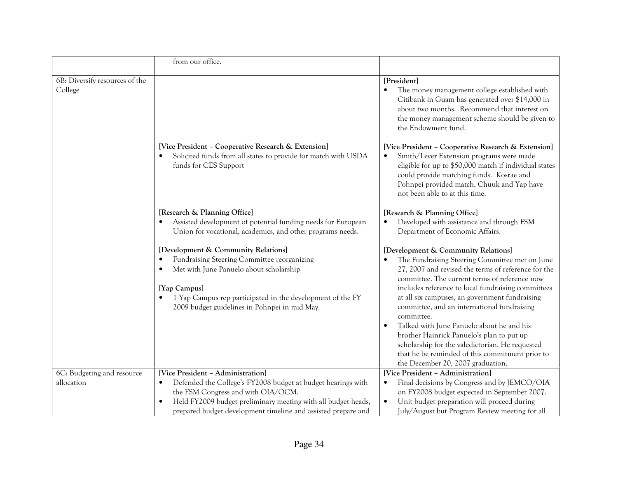|                                           | from our office.                                                                                                                                                                                                                                                          |                                                                                                                                                                                                                                                                                                                                                                                                                                                                                                                                                                                                         |
|-------------------------------------------|---------------------------------------------------------------------------------------------------------------------------------------------------------------------------------------------------------------------------------------------------------------------------|---------------------------------------------------------------------------------------------------------------------------------------------------------------------------------------------------------------------------------------------------------------------------------------------------------------------------------------------------------------------------------------------------------------------------------------------------------------------------------------------------------------------------------------------------------------------------------------------------------|
| 6B: Diversify resources of the<br>College |                                                                                                                                                                                                                                                                           | [President]<br>The money management college established with<br>Citibank in Guam has generated over \$14,000 in<br>about two months. Recommend that interest on<br>the money management scheme should be given to<br>the Endowment fund.                                                                                                                                                                                                                                                                                                                                                                |
|                                           | [Vice President - Cooperative Research & Extension]<br>Solicited funds from all states to provide for match with USDA<br>funds for CES Support                                                                                                                            | [Vice President - Cooperative Research & Extension]<br>Smith/Lever Extension programs were made<br>eligible for up to \$50,000 match if individual states<br>could provide matching funds. Kosrae and<br>Pohnpei provided match, Chuuk and Yap have<br>not been able to at this time.                                                                                                                                                                                                                                                                                                                   |
|                                           | [Research & Planning Office]<br>Assisted development of potential funding needs for European<br>Union for vocational, academics, and other programs needs.                                                                                                                | [Research & Planning Office]<br>Developed with assistance and through FSM<br>$\bullet$<br>Department of Economic Affairs.                                                                                                                                                                                                                                                                                                                                                                                                                                                                               |
|                                           | [Development & Community Relations]<br>Fundraising Steering Committee reorganizing<br>Met with June Panuelo about scholarship<br>$\bullet$<br>[Yap Campus]<br>1 Yap Campus rep participated in the development of the FY<br>2009 budget guidelines in Pohnpei in mid May. | [Development & Community Relations]<br>The Fundraising Steering Committee met on June<br>27, 2007 and revised the terms of reference for the<br>committee. The current terms of reference now<br>includes reference to local fundraising committees<br>at all six campuses, an government fundraising<br>committee, and an international fundraising<br>committee.<br>Talked with June Panuelo about he and his<br>brother Hainrick Panuelo's plan to put up<br>scholarship for the valedictorian. He requested<br>that he be reminded of this commitment prior to<br>the December 20, 2007 graduation. |
| 6C: Budgeting and resource<br>allocation  | [Vice President - Administration]<br>$\bullet$                                                                                                                                                                                                                            | [Vice President - Administration]<br>$\bullet$                                                                                                                                                                                                                                                                                                                                                                                                                                                                                                                                                          |
|                                           | Defended the College's FY2008 budget at budget hearings with<br>the FSM Congress and with OIA/OCM.                                                                                                                                                                        | Final decisions by Congress and by JEMCO/OIA<br>on FY2008 budget expected in September 2007.                                                                                                                                                                                                                                                                                                                                                                                                                                                                                                            |
|                                           | Held FY2009 budget preliminary meeting with all budget heads,<br>$\bullet$<br>prepared budget development timeline and assisted prepare and                                                                                                                               | Unit budget preparation will proceed during<br>$\bullet$<br>July/August but Program Review meeting for all                                                                                                                                                                                                                                                                                                                                                                                                                                                                                              |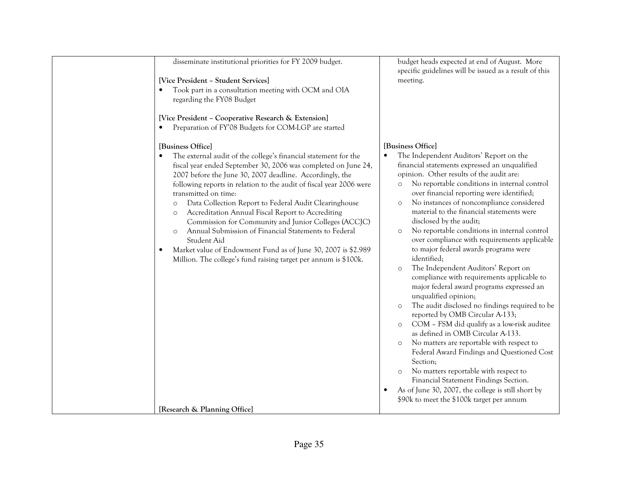| disseminate institutional priorities for FY 2009 budget.                                                                                                                                                                                                                                                                                                                                                                                                                                                                                                                                                                                                                                                                    | budget heads expected at end of August. More<br>specific guidelines will be issued as a result of this                                                                                                                                                                                                                                                                                                                                                                                                                                                                                                                                                                                                                                                                                                                                                                                                                                                                                                                                                                                                                                                                                                                               |
|-----------------------------------------------------------------------------------------------------------------------------------------------------------------------------------------------------------------------------------------------------------------------------------------------------------------------------------------------------------------------------------------------------------------------------------------------------------------------------------------------------------------------------------------------------------------------------------------------------------------------------------------------------------------------------------------------------------------------------|--------------------------------------------------------------------------------------------------------------------------------------------------------------------------------------------------------------------------------------------------------------------------------------------------------------------------------------------------------------------------------------------------------------------------------------------------------------------------------------------------------------------------------------------------------------------------------------------------------------------------------------------------------------------------------------------------------------------------------------------------------------------------------------------------------------------------------------------------------------------------------------------------------------------------------------------------------------------------------------------------------------------------------------------------------------------------------------------------------------------------------------------------------------------------------------------------------------------------------------|
| [Vice President - Student Services]                                                                                                                                                                                                                                                                                                                                                                                                                                                                                                                                                                                                                                                                                         | meeting.                                                                                                                                                                                                                                                                                                                                                                                                                                                                                                                                                                                                                                                                                                                                                                                                                                                                                                                                                                                                                                                                                                                                                                                                                             |
| Took part in a consultation meeting with OCM and OIA<br>regarding the FY08 Budget                                                                                                                                                                                                                                                                                                                                                                                                                                                                                                                                                                                                                                           |                                                                                                                                                                                                                                                                                                                                                                                                                                                                                                                                                                                                                                                                                                                                                                                                                                                                                                                                                                                                                                                                                                                                                                                                                                      |
| [Vice President - Cooperative Research & Extension]<br>Preparation of FY'08 Budgets for COM-LGP are started                                                                                                                                                                                                                                                                                                                                                                                                                                                                                                                                                                                                                 |                                                                                                                                                                                                                                                                                                                                                                                                                                                                                                                                                                                                                                                                                                                                                                                                                                                                                                                                                                                                                                                                                                                                                                                                                                      |
| [Business Office]                                                                                                                                                                                                                                                                                                                                                                                                                                                                                                                                                                                                                                                                                                           | [Business Office]                                                                                                                                                                                                                                                                                                                                                                                                                                                                                                                                                                                                                                                                                                                                                                                                                                                                                                                                                                                                                                                                                                                                                                                                                    |
| The external audit of the college's financial statement for the<br>fiscal year ended September 30, 2006 was completed on June 24,<br>2007 before the June 30, 2007 deadline. Accordingly, the<br>following reports in relation to the audit of fiscal year 2006 were<br>transmitted on time:<br>Data Collection Report to Federal Audit Clearinghouse<br>$\circ$<br>Accreditation Annual Fiscal Report to Accrediting<br>$\circ$<br>Commission for Community and Junior Colleges (ACCJC)<br>Annual Submission of Financial Statements to Federal<br>$\circ$<br>Student Aid<br>Market value of Endowment Fund as of June 30, 2007 is \$2.989<br>$\bullet$<br>Million. The college's fund raising target per annum is \$100k. | The Independent Auditors' Report on the<br>financial statements expressed an unqualified<br>opinion. Other results of the audit are:<br>No reportable conditions in internal control<br>$\circ$<br>over financial reporting were identified;<br>No instances of noncompliance considered<br>$\circ$<br>material to the financial statements were<br>disclosed by the audit;<br>No reportable conditions in internal control<br>$\circ$<br>over compliance with requirements applicable<br>to major federal awards programs were<br>identified;<br>The Independent Auditors' Report on<br>$\circ$<br>compliance with requirements applicable to<br>major federal award programs expressed an<br>unqualified opinion;<br>The audit disclosed no findings required to be<br>$\circ$<br>reported by OMB Circular A-133;<br>COM - FSM did qualify as a low-risk auditee<br>$\circ$<br>as defined in OMB Circular A-133.<br>No matters are reportable with respect to<br>$\circ$<br>Federal Award Findings and Questioned Cost<br>Section;<br>No matters reportable with respect to<br>$\circ$<br>Financial Statement Findings Section.<br>As of June 30, 2007, the college is still short by<br>\$90k to meet the \$100k target per annum |
| [Research & Planning Office]                                                                                                                                                                                                                                                                                                                                                                                                                                                                                                                                                                                                                                                                                                |                                                                                                                                                                                                                                                                                                                                                                                                                                                                                                                                                                                                                                                                                                                                                                                                                                                                                                                                                                                                                                                                                                                                                                                                                                      |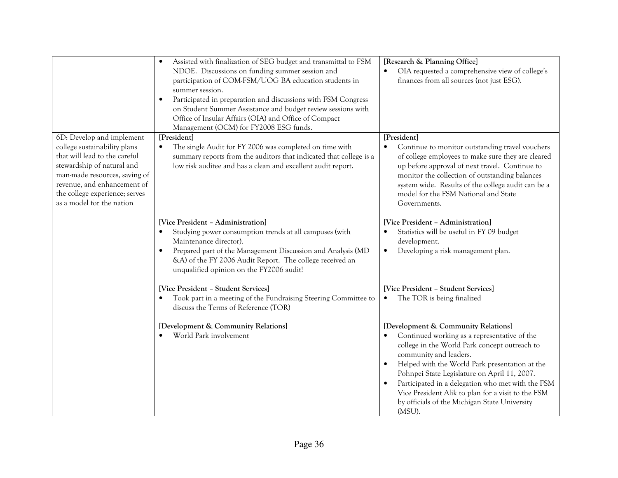|                                                                                                                                                                                                                                                         | Assisted with finalization of SEG budget and transmittal to FSM<br>$\bullet$<br>NDOE. Discussions on funding summer session and<br>participation of COM-FSM/UOG BA education students in<br>summer session.<br>Participated in preparation and discussions with FSM Congress<br>$\bullet$<br>on Student Summer Assistance and budget review sessions with<br>Office of Insular Affairs (OIA) and Office of Compact<br>Management (OCM) for FY2008 ESG funds. | [Research & Planning Office]<br>OIA requested a comprehensive view of college's<br>$\bullet$<br>finances from all sources (not just ESG).                                                                                                                                                                                                                                                                                              |
|---------------------------------------------------------------------------------------------------------------------------------------------------------------------------------------------------------------------------------------------------------|--------------------------------------------------------------------------------------------------------------------------------------------------------------------------------------------------------------------------------------------------------------------------------------------------------------------------------------------------------------------------------------------------------------------------------------------------------------|----------------------------------------------------------------------------------------------------------------------------------------------------------------------------------------------------------------------------------------------------------------------------------------------------------------------------------------------------------------------------------------------------------------------------------------|
| 6D: Develop and implement<br>college sustainability plans<br>that will lead to the careful<br>stewardship of natural and<br>man-made resources, saving of<br>revenue, and enhancement of<br>the college experience; serves<br>as a model for the nation | [President]<br>The single Audit for FY 2006 was completed on time with<br>$\bullet$<br>summary reports from the auditors that indicated that college is a<br>low risk auditee and has a clean and excellent audit report.                                                                                                                                                                                                                                    | [President]<br>Continue to monitor outstanding travel vouchers<br>of college employees to make sure they are cleared<br>up before approval of next travel. Continue to<br>monitor the collection of outstanding balances<br>system wide. Results of the college audit can be a<br>model for the FSM National and State<br>Governments.                                                                                                 |
|                                                                                                                                                                                                                                                         | [Vice President - Administration]<br>Studying power consumption trends at all campuses (with<br>Maintenance director).<br>Prepared part of the Management Discussion and Analysis (MD<br>&A) of the FY 2006 Audit Report. The college received an<br>unqualified opinion on the FY2006 audit!                                                                                                                                                                | [Vice President - Administration]<br>Statistics will be useful in FY 09 budget<br>$\bullet$<br>development.<br>Developing a risk management plan.<br>$\bullet$                                                                                                                                                                                                                                                                         |
|                                                                                                                                                                                                                                                         | [Vice President - Student Services]<br>Took part in a meeting of the Fundraising Steering Committee to<br>discuss the Terms of Reference (TOR)                                                                                                                                                                                                                                                                                                               | [Vice President - Student Services]<br>The TOR is being finalized<br>$\bullet$                                                                                                                                                                                                                                                                                                                                                         |
|                                                                                                                                                                                                                                                         | [Development & Community Relations]<br>World Park involvement                                                                                                                                                                                                                                                                                                                                                                                                | [Development & Community Relations]<br>Continued working as a representative of the<br>college in the World Park concept outreach to<br>community and leaders.<br>Helped with the World Park presentation at the<br>Pohnpei State Legislature on April 11, 2007.<br>Participated in a delegation who met with the FSM<br>Vice President Alik to plan for a visit to the FSM<br>by officials of the Michigan State University<br>(MSU). |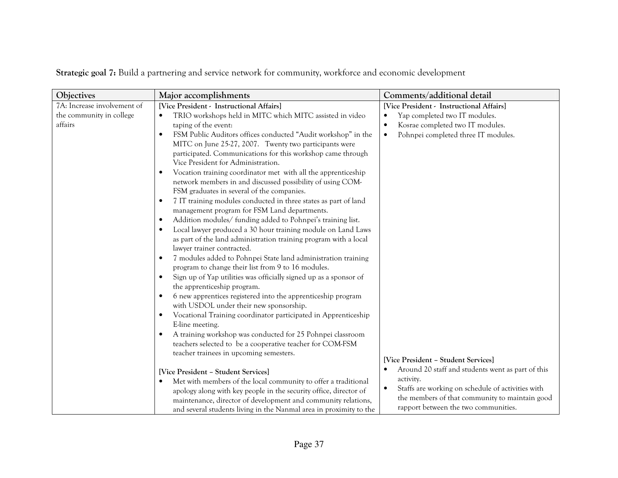| Objectives                  | Major accomplishments                                                                                              | Comments/additional detail                        |
|-----------------------------|--------------------------------------------------------------------------------------------------------------------|---------------------------------------------------|
| 7A: Increase involvement of | [Vice President - Instructional Affairs]                                                                           | [Vice President - Instructional Affairs]          |
| the community in college    | TRIO workshops held in MITC which MITC assisted in video                                                           | Yap completed two IT modules.                     |
| affairs                     | taping of the event:                                                                                               | Kosrae completed two IT modules.                  |
|                             | FSM Public Auditors offices conducted "Audit workshop" in the<br>$\bullet$                                         | Pohnpei completed three IT modules.               |
|                             | MITC on June 25-27, 2007. Twenty two participants were                                                             |                                                   |
|                             | participated. Communications for this workshop came through                                                        |                                                   |
|                             | Vice President for Administration.                                                                                 |                                                   |
|                             | Vocation training coordinator met with all the apprenticeship<br>$\bullet$                                         |                                                   |
|                             | network members in and discussed possibility of using COM-                                                         |                                                   |
|                             | FSM graduates in several of the companies.                                                                         |                                                   |
|                             | 7 IT training modules conducted in three states as part of land                                                    |                                                   |
|                             | management program for FSM Land departments.                                                                       |                                                   |
|                             | Addition modules/ funding added to Pohnpei's training list.<br>$\bullet$                                           |                                                   |
|                             | Local lawyer produced a 30 hour training module on Land Laws<br>$\bullet$                                          |                                                   |
|                             | as part of the land administration training program with a local                                                   |                                                   |
|                             | lawyer trainer contracted.                                                                                         |                                                   |
|                             | 7 modules added to Pohnpei State land administration training                                                      |                                                   |
|                             | program to change their list from 9 to 16 modules.                                                                 |                                                   |
|                             | Sign up of Yap utilities was officially signed up as a sponsor of<br>$\bullet$                                     |                                                   |
|                             | the apprenticeship program.                                                                                        |                                                   |
|                             | 6 new apprentices registered into the apprenticeship program                                                       |                                                   |
|                             | with USDOL under their new sponsorship.                                                                            |                                                   |
|                             | Vocational Training coordinator participated in Apprenticeship                                                     |                                                   |
|                             | E-line meeting.                                                                                                    |                                                   |
|                             | A training workshop was conducted for 25 Pohnpei classroom<br>$\bullet$                                            |                                                   |
|                             | teachers selected to be a cooperative teacher for COM-FSM                                                          |                                                   |
|                             | teacher trainees in upcoming semesters.                                                                            | [Vice President - Student Services]               |
|                             |                                                                                                                    | Around 20 staff and students went as part of this |
|                             | [Vice President - Student Services]<br>Met with members of the local community to offer a traditional<br>$\bullet$ | activity.                                         |
|                             | apology along with key people in the security office, director of                                                  | Staffs are working on schedule of activities with |
|                             | maintenance, director of development and community relations,                                                      | the members of that community to maintain good    |
|                             | and several students living in the Nanmal area in proximity to the                                                 | rapport between the two communities.              |

Strategic goal 7: Build a partnering and service network for community, workforce and economic development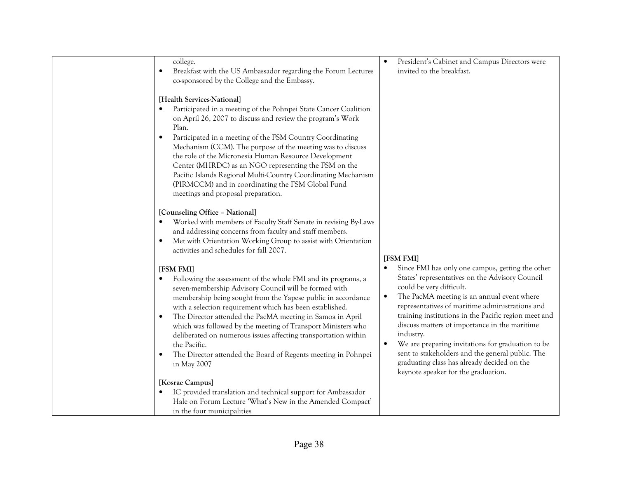| college.<br>Breakfast with the US Ambassador regarding the Forum Lectures<br>$\bullet$<br>co-sponsored by the College and the Embassy.<br>[Health Services-National]<br>Participated in a meeting of the Pohnpei State Cancer Coalition                                                                                                                                                                                                                                                                                                                        | President's Cabinet and Campus Directors were<br>invited to the breakfast.                                                                                                                                                                                                                                                                                                                                                                                                                                                                                         |
|----------------------------------------------------------------------------------------------------------------------------------------------------------------------------------------------------------------------------------------------------------------------------------------------------------------------------------------------------------------------------------------------------------------------------------------------------------------------------------------------------------------------------------------------------------------|--------------------------------------------------------------------------------------------------------------------------------------------------------------------------------------------------------------------------------------------------------------------------------------------------------------------------------------------------------------------------------------------------------------------------------------------------------------------------------------------------------------------------------------------------------------------|
| on April 26, 2007 to discuss and review the program's Work<br>Plan.<br>Participated in a meeting of the FSM Country Coordinating<br>$\bullet$<br>Mechanism (CCM). The purpose of the meeting was to discuss<br>the role of the Micronesia Human Resource Development<br>Center (MHRDC) as an NGO representing the FSM on the<br>Pacific Islands Regional Multi-Country Coordinating Mechanism<br>(PIRMCCM) and in coordinating the FSM Global Fund<br>meetings and proposal preparation.                                                                       |                                                                                                                                                                                                                                                                                                                                                                                                                                                                                                                                                                    |
| [Counseling Office - National]<br>Worked with members of Faculty Staff Senate in revising By-Laws<br>and addressing concerns from faculty and staff members.<br>Met with Orientation Working Group to assist with Orientation<br>$\bullet$<br>activities and schedules for fall 2007.                                                                                                                                                                                                                                                                          | [FSM FMI]                                                                                                                                                                                                                                                                                                                                                                                                                                                                                                                                                          |
| [FSM FMI]<br>Following the assessment of the whole FMI and its programs, a<br>seven-membership Advisory Council will be formed with<br>membership being sought from the Yapese public in accordance<br>with a selection requirement which has been established.<br>The Director attended the PacMA meeting in Samoa in April<br>which was followed by the meeting of Transport Ministers who<br>deliberated on numerous issues affecting transportation within<br>the Pacific.<br>The Director attended the Board of Regents meeting in Pohnpei<br>in May 2007 | Since FMI has only one campus, getting the other<br>States' representatives on the Advisory Council<br>could be very difficult.<br>The PacMA meeting is an annual event where<br>$\bullet$<br>representatives of maritime administrations and<br>training institutions in the Pacific region meet and<br>discuss matters of importance in the maritime<br>industry.<br>We are preparing invitations for graduation to be<br>sent to stakeholders and the general public. The<br>graduating class has already decided on the<br>keynote speaker for the graduation. |
| [Kosrae Campus]<br>IC provided translation and technical support for Ambassador<br>Hale on Forum Lecture 'What's New in the Amended Compact'<br>in the four municipalities                                                                                                                                                                                                                                                                                                                                                                                     |                                                                                                                                                                                                                                                                                                                                                                                                                                                                                                                                                                    |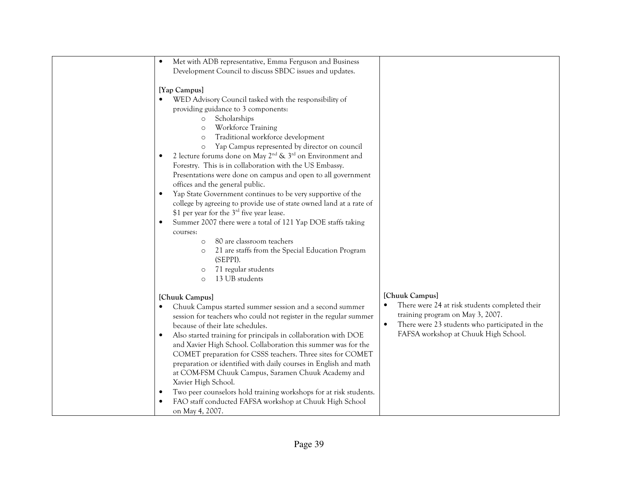| Met with ADB representative, Emma Ferguson and Business<br>Development Council to discuss SBDC issues and updates.                                                                                                                                                                                                                                                                                                                                                                                                                                                                                                                                                                                                                                                                                                                                                                                                                                                          |                                                                                                                                                                                                             |
|-----------------------------------------------------------------------------------------------------------------------------------------------------------------------------------------------------------------------------------------------------------------------------------------------------------------------------------------------------------------------------------------------------------------------------------------------------------------------------------------------------------------------------------------------------------------------------------------------------------------------------------------------------------------------------------------------------------------------------------------------------------------------------------------------------------------------------------------------------------------------------------------------------------------------------------------------------------------------------|-------------------------------------------------------------------------------------------------------------------------------------------------------------------------------------------------------------|
| [Yap Campus]<br>WED Advisory Council tasked with the responsibility of<br>providing guidance to 3 components:<br>Scholarships<br>$\circ$<br>Workforce Training<br>$\circ$<br>Traditional workforce development<br>$\circ$<br>Yap Campus represented by director on council<br>$\circ$<br>2 lecture forums done on May $2^{nd}$ & $3^{rd}$ on Environment and<br>Forestry. This is in collaboration with the US Embassy.<br>Presentations were done on campus and open to all government<br>offices and the general public.<br>Yap State Government continues to be very supportive of the<br>college by agreeing to provide use of state owned land at a rate of<br>\$1 per year for the $3^{\text{rd}}$ five year lease.<br>Summer 2007 there were a total of 121 Yap DOE staffs taking<br>courses:<br>80 are classroom teachers<br>$\circ$<br>21 are staffs from the Special Education Program<br>(SEPPI).<br>71 regular students<br>$\circ$<br>13 UB students<br>$\circ$ |                                                                                                                                                                                                             |
| [Chuuk Campus]<br>Chuuk Campus started summer session and a second summer<br>session for teachers who could not register in the regular summer<br>because of their late schedules.<br>Also started training for principals in collaboration with DOE<br>$\bullet$<br>and Xavier High School. Collaboration this summer was for the<br>COMET preparation for CSSS teachers. Three sites for COMET<br>preparation or identified with daily courses in English and math<br>at COM-FSM Chuuk Campus, Saramen Chuuk Academy and<br>Xavier High School.<br>Two peer counselors hold training workshops for at risk students.<br>FAO staff conducted FAFSA workshop at Chuuk High School<br>on May 4, 2007.                                                                                                                                                                                                                                                                        | [Chuuk Campus]<br>There were 24 at risk students completed their<br>training program on May 3, 2007.<br>There were 23 students who participated in the<br>$\bullet$<br>FAFSA workshop at Chuuk High School. |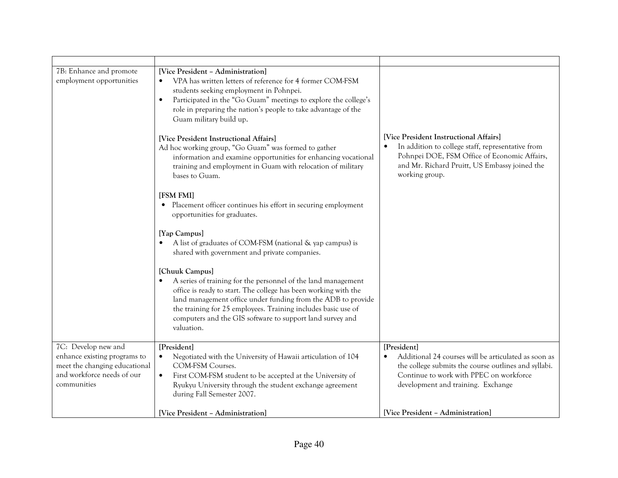| 7B: Enhance and promote<br>employment opportunities                                                                               | [Vice President - Administration]<br>VPA has written letters of reference for 4 former COM-FSM<br>students seeking employment in Pohnpei.<br>Participated in the "Go Guam" meetings to explore the college's<br>$\bullet$<br>role in preparing the nation's people to take advantage of the<br>Guam military build up.                                                      |                                                                                                                                                                                                                |
|-----------------------------------------------------------------------------------------------------------------------------------|-----------------------------------------------------------------------------------------------------------------------------------------------------------------------------------------------------------------------------------------------------------------------------------------------------------------------------------------------------------------------------|----------------------------------------------------------------------------------------------------------------------------------------------------------------------------------------------------------------|
|                                                                                                                                   | [Vice President Instructional Affairs]<br>Ad hoc working group, "Go Guam" was formed to gather<br>information and examine opportunities for enhancing vocational<br>training and employment in Guam with relocation of military<br>bases to Guam.                                                                                                                           | [Vice President Instructional Affairs]<br>In addition to college staff, representative from<br>Pohnpei DOE, FSM Office of Economic Affairs,<br>and Mr. Richard Pruitt, US Embassy joined the<br>working group. |
|                                                                                                                                   | [FSM FMI]<br>Placement officer continues his effort in securing employment<br>opportunities for graduates.                                                                                                                                                                                                                                                                  |                                                                                                                                                                                                                |
|                                                                                                                                   | [Yap Campus]<br>A list of graduates of COM-FSM (national & yap campus) is<br>shared with government and private companies.                                                                                                                                                                                                                                                  |                                                                                                                                                                                                                |
|                                                                                                                                   | [Chuuk Campus]<br>A series of training for the personnel of the land management<br>$\bullet$<br>office is ready to start. The college has been working with the<br>land management office under funding from the ADB to provide<br>the training for 25 employees. Training includes basic use of<br>computers and the GIS software to support land survey and<br>valuation. |                                                                                                                                                                                                                |
| 7C: Develop new and<br>enhance existing programs to<br>meet the changing educational<br>and workforce needs of our<br>communities | [President]<br>Negotiated with the University of Hawaii articulation of 104<br><b>COM-FSM Courses.</b><br>First COM-FSM student to be accepted at the University of<br>$\bullet$<br>Ryukyu University through the student exchange agreement<br>during Fall Semester 2007.                                                                                                  | [President]<br>Additional 24 courses will be articulated as soon as<br>the college submits the course outlines and syllabi.<br>Continue to work with PPEC on workforce<br>development and training. Exchange   |
|                                                                                                                                   | [Vice President - Administration]                                                                                                                                                                                                                                                                                                                                           | [Vice President - Administration]                                                                                                                                                                              |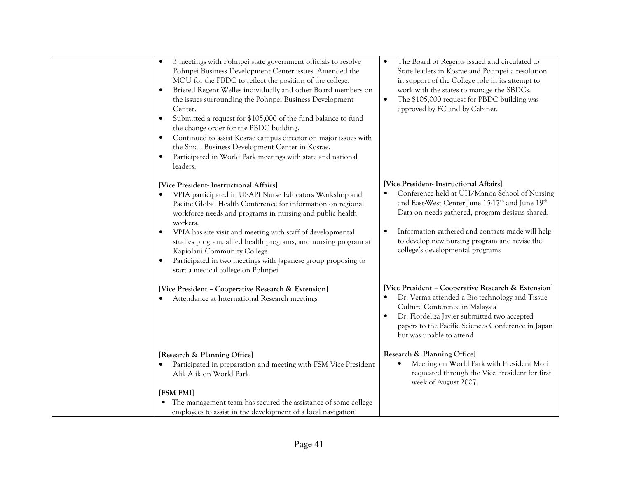| 3 meetings with Pohnpei state government officials to resolve<br>$\bullet$<br>Pohnpei Business Development Center issues. Amended the<br>MOU for the PBDC to reflect the position of the college.<br>Briefed Regent Welles individually and other Board members on<br>$\bullet$<br>the issues surrounding the Pohnpei Business Development<br>Center.<br>Submitted a request for \$105,000 of the fund balance to fund<br>$\bullet$<br>the change order for the PBDC building.<br>Continued to assist Kosrae campus director on major issues with<br>$\bullet$<br>the Small Business Development Center in Kosrae.<br>Participated in World Park meetings with state and national<br>$\bullet$<br>leaders. | The Board of Regents issued and circulated to<br>$\bullet$<br>State leaders in Kosrae and Pohnpei a resolution<br>in support of the College role in its attempt to<br>work with the states to manage the SBDCs.<br>The \$105,000 request for PBDC building was<br>$\bullet$<br>approved by FC and by Cabinet. |
|------------------------------------------------------------------------------------------------------------------------------------------------------------------------------------------------------------------------------------------------------------------------------------------------------------------------------------------------------------------------------------------------------------------------------------------------------------------------------------------------------------------------------------------------------------------------------------------------------------------------------------------------------------------------------------------------------------|---------------------------------------------------------------------------------------------------------------------------------------------------------------------------------------------------------------------------------------------------------------------------------------------------------------|
| [Vice President- Instructional Affairs]<br>VPIA participated in USAPI Nurse Educators Workshop and<br>Pacific Global Health Conference for information on regional                                                                                                                                                                                                                                                                                                                                                                                                                                                                                                                                         | [Vice President- Instructional Affairs]<br>Conference held at UH/Manoa School of Nursing<br>and East-West Center June 15-17 <sup>th</sup> and June 19 <sup>th</sup>                                                                                                                                           |
| workforce needs and programs in nursing and public health<br>workers.                                                                                                                                                                                                                                                                                                                                                                                                                                                                                                                                                                                                                                      | Data on needs gathered, program designs shared.                                                                                                                                                                                                                                                               |
| VPIA has site visit and meeting with staff of developmental<br>$\bullet$<br>studies program, allied health programs, and nursing program at<br>Kapiolani Community College.<br>Participated in two meetings with Japanese group proposing to<br>$\bullet$<br>start a medical college on Pohnpei.                                                                                                                                                                                                                                                                                                                                                                                                           | Information gathered and contacts made will help<br>to develop new nursing program and revise the<br>college's developmental programs                                                                                                                                                                         |
| [Vice President - Cooperative Research & Extension]<br>Attendance at International Research meetings<br>$\bullet$                                                                                                                                                                                                                                                                                                                                                                                                                                                                                                                                                                                          | [Vice President - Cooperative Research & Extension]<br>Dr. Verma attended a Bio-technology and Tissue<br>Culture Conference in Malaysia<br>Dr. Flordeliza Javier submitted two accepted<br>papers to the Pacific Sciences Conference in Japan<br>but was unable to attend                                     |
| [Research & Planning Office]                                                                                                                                                                                                                                                                                                                                                                                                                                                                                                                                                                                                                                                                               | Research & Planning Office]                                                                                                                                                                                                                                                                                   |
| Participated in preparation and meeting with FSM Vice President<br>$\bullet$<br>Alik Alik on World Park.                                                                                                                                                                                                                                                                                                                                                                                                                                                                                                                                                                                                   | Meeting on World Park with President Mori<br>requested through the Vice President for first<br>week of August 2007.                                                                                                                                                                                           |
| [FSM FMI]                                                                                                                                                                                                                                                                                                                                                                                                                                                                                                                                                                                                                                                                                                  |                                                                                                                                                                                                                                                                                                               |
| The management team has secured the assistance of some college<br>employees to assist in the development of a local navigation                                                                                                                                                                                                                                                                                                                                                                                                                                                                                                                                                                             |                                                                                                                                                                                                                                                                                                               |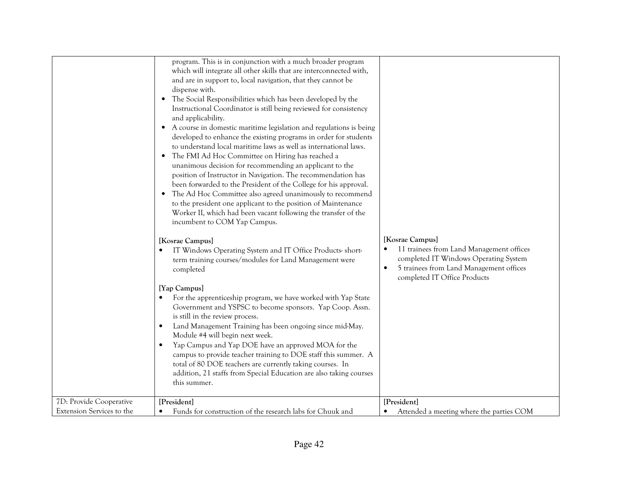|                                                      | program. This is in conjunction with a much broader program<br>which will integrate all other skills that are interconnected with,<br>and are in support to, local navigation, that they cannot be<br>dispense with.<br>• The Social Responsibilities which has been developed by the<br>Instructional Coordinator is still being reviewed for consistency<br>and applicability.<br>• A course in domestic maritime legislation and regulations is being<br>developed to enhance the existing programs in order for students<br>to understand local maritime laws as well as international laws.<br>The FMI Ad Hoc Committee on Hiring has reached a<br>unanimous decision for recommending an applicant to the<br>position of Instructor in Navigation. The recommendation has<br>been forwarded to the President of the College for his approval.<br>The Ad Hoc Committee also agreed unanimously to recommend<br>to the president one applicant to the position of Maintenance<br>Worker II, which had been vacant following the transfer of the<br>incumbent to COM Yap Campus.<br>[Kosrae Campus]<br>IT Windows Operating System and IT Office Products-short-<br>term training courses/modules for Land Management were<br>completed<br>[Yap Campus]<br>For the apprenticeship program, we have worked with Yap State<br>Government and YSPSC to become sponsors. Yap Coop. Assn.<br>is still in the review process.<br>Land Management Training has been ongoing since mid-May.<br>Module #4 will begin next week.<br>Yap Campus and Yap DOE have an approved MOA for the<br>campus to provide teacher training to DOE staff this summer. A<br>total of 80 DOE teachers are currently taking courses. In<br>addition, 21 staffs from Special Education are also taking courses<br>this summer. | [Kosrae Campus]<br>11 trainees from Land Management offices<br>completed IT Windows Operating System<br>5 trainees from Land Management offices<br>$\bullet$<br>completed IT Office Products |
|------------------------------------------------------|-------------------------------------------------------------------------------------------------------------------------------------------------------------------------------------------------------------------------------------------------------------------------------------------------------------------------------------------------------------------------------------------------------------------------------------------------------------------------------------------------------------------------------------------------------------------------------------------------------------------------------------------------------------------------------------------------------------------------------------------------------------------------------------------------------------------------------------------------------------------------------------------------------------------------------------------------------------------------------------------------------------------------------------------------------------------------------------------------------------------------------------------------------------------------------------------------------------------------------------------------------------------------------------------------------------------------------------------------------------------------------------------------------------------------------------------------------------------------------------------------------------------------------------------------------------------------------------------------------------------------------------------------------------------------------------------------------------------------------------------------------------------------------------------------------|----------------------------------------------------------------------------------------------------------------------------------------------------------------------------------------------|
| 7D: Provide Cooperative<br>Extension Services to the | [President]<br>Funds for construction of the research labs for Chuuk and                                                                                                                                                                                                                                                                                                                                                                                                                                                                                                                                                                                                                                                                                                                                                                                                                                                                                                                                                                                                                                                                                                                                                                                                                                                                                                                                                                                                                                                                                                                                                                                                                                                                                                                              | [President]                                                                                                                                                                                  |
|                                                      |                                                                                                                                                                                                                                                                                                                                                                                                                                                                                                                                                                                                                                                                                                                                                                                                                                                                                                                                                                                                                                                                                                                                                                                                                                                                                                                                                                                                                                                                                                                                                                                                                                                                                                                                                                                                       | Attended a meeting where the parties COM                                                                                                                                                     |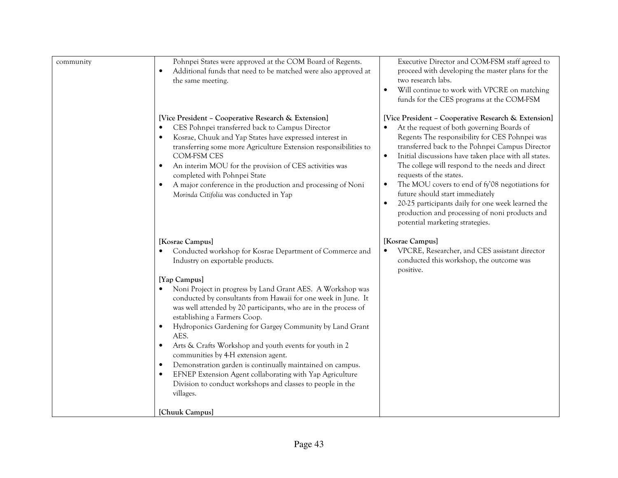| community | Pohnpei States were approved at the COM Board of Regents.<br>Additional funds that need to be matched were also approved at<br>$\bullet$<br>the same meeting.                                                                                                                                                                                                                                                                                                                                                                                                                                                                                                               | Executive Director and COM-FSM staff agreed to<br>proceed with developing the master plans for the<br>two research labs.<br>Will continue to work with VPCRE on matching<br>$\bullet$<br>funds for the CES programs at the COM-FSM                                                                                                                                                                                                                                                                                                                                                                                    |
|-----------|-----------------------------------------------------------------------------------------------------------------------------------------------------------------------------------------------------------------------------------------------------------------------------------------------------------------------------------------------------------------------------------------------------------------------------------------------------------------------------------------------------------------------------------------------------------------------------------------------------------------------------------------------------------------------------|-----------------------------------------------------------------------------------------------------------------------------------------------------------------------------------------------------------------------------------------------------------------------------------------------------------------------------------------------------------------------------------------------------------------------------------------------------------------------------------------------------------------------------------------------------------------------------------------------------------------------|
|           | [Vice President - Cooperative Research & Extension]<br>CES Pohnpei transferred back to Campus Director<br>Kosrae, Chuuk and Yap States have expressed interest in<br>transferring some more Agriculture Extension responsibilities to<br><b>COM-FSM CES</b><br>An interim MOU for the provision of CES activities was<br>completed with Pohnpei State<br>A major conference in the production and processing of Noni<br>Morinda Citifolia was conducted in Yap                                                                                                                                                                                                              | [Vice President - Cooperative Research & Extension]<br>At the request of both governing Boards of<br>Regents The responsibility for CES Pohnpei was<br>transferred back to the Pohnpei Campus Director<br>Initial discussions have taken place with all states.<br>$\bullet$<br>The college will respond to the needs and direct<br>requests of the states.<br>The MOU covers to end of fy'08 negotiations for<br>$\bullet$<br>future should start immediately<br>20-25 participants daily for one week learned the<br>$\bullet$<br>production and processing of noni products and<br>potential marketing strategies. |
|           | [Kosrae Campus]<br>Conducted workshop for Kosrae Department of Commerce and<br>Industry on exportable products.                                                                                                                                                                                                                                                                                                                                                                                                                                                                                                                                                             | [Kosrae Campus]<br>VPCRE, Researcher, and CES assistant director<br>$\bullet$<br>conducted this workshop, the outcome was<br>positive.                                                                                                                                                                                                                                                                                                                                                                                                                                                                                |
|           | [Yap Campus]<br>Noni Project in progress by Land Grant AES. A Workshop was<br>conducted by consultants from Hawaii for one week in June. It<br>was well attended by 20 participants, who are in the process of<br>establishing a Farmers Coop.<br>Hydroponics Gardening for Gargey Community by Land Grant<br>$\bullet$<br>AES.<br>Arts & Crafts Workshop and youth events for youth in 2<br>$\bullet$<br>communities by 4-H extension agent.<br>Demonstration garden is continually maintained on campus.<br>$\bullet$<br>EFNEP Extension Agent collaborating with Yap Agriculture<br>$\bullet$<br>Division to conduct workshops and classes to people in the<br>villages. |                                                                                                                                                                                                                                                                                                                                                                                                                                                                                                                                                                                                                       |
|           | [Chuuk Campus]                                                                                                                                                                                                                                                                                                                                                                                                                                                                                                                                                                                                                                                              |                                                                                                                                                                                                                                                                                                                                                                                                                                                                                                                                                                                                                       |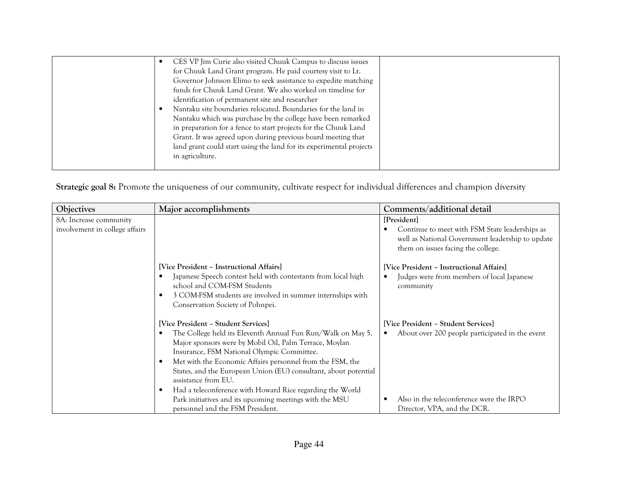| CES VP Jim Curie also visited Chuuk Campus to discuss issues<br>for Chuuk Land Grant program. He paid courtesy visit to Lt.<br>Governor Johnson Elimo to seek assistance to expedite matching<br>funds for Chuuk Land Grant. We also worked on timeline for<br>identification of permanent site and researcher<br>Nantaku site boundaries relocated. Boundaries for the land in<br>Nantaku which was purchase by the college have been remarked<br>in preparation for a fence to start projects for the Chuuk Land<br>Grant. It was agreed upon during previous board meeting that<br>land grant could start using the land for its experimental projects<br>in agriculture. |  |
|------------------------------------------------------------------------------------------------------------------------------------------------------------------------------------------------------------------------------------------------------------------------------------------------------------------------------------------------------------------------------------------------------------------------------------------------------------------------------------------------------------------------------------------------------------------------------------------------------------------------------------------------------------------------------|--|
|------------------------------------------------------------------------------------------------------------------------------------------------------------------------------------------------------------------------------------------------------------------------------------------------------------------------------------------------------------------------------------------------------------------------------------------------------------------------------------------------------------------------------------------------------------------------------------------------------------------------------------------------------------------------------|--|

Strategic goal 8: Promote the uniqueness of our community, cultivate respect for individual differences and champion diversity

| Objectives                                               | Major accomplishments                                                                                                                                                                                                                                                                                                                                                                                                                                                                                                         | Comments/additional detail                                                                                                                                                     |
|----------------------------------------------------------|-------------------------------------------------------------------------------------------------------------------------------------------------------------------------------------------------------------------------------------------------------------------------------------------------------------------------------------------------------------------------------------------------------------------------------------------------------------------------------------------------------------------------------|--------------------------------------------------------------------------------------------------------------------------------------------------------------------------------|
| 8A: Increase community<br>involvement in college affairs |                                                                                                                                                                                                                                                                                                                                                                                                                                                                                                                               | [President]<br>Continue to meet with FSM State leaderships as<br>well as National Government leadership to update<br>them on issues facing the college.                        |
|                                                          | [Vice President - Instructional Affairs]<br>Japanese Speech contest held with contestants from local high<br>school and COM-FSM Students<br>3 COM-FSM students are involved in summer internships with<br>Conservation Society of Pohnpei.                                                                                                                                                                                                                                                                                    | [Vice President - Instructional Affairs]<br>Judges were from members of local Japanese<br>community                                                                            |
|                                                          | [Vice President – Student Services]<br>The College held its Eleventh Annual Fun Run/Walk on May 5.<br>Major sponsors were by Mobil Oil, Palm Terrace, Moylan<br>Insurance, FSM National Olympic Committee.<br>Met with the Economic Affairs personnel from the FSM, the<br>States, and the European Union (EU) consultant, about potential<br>assistance from EU.<br>Had a teleconference with Howard Rice regarding the World<br>Park initiatives and its upcoming meetings with the MSU<br>personnel and the FSM President. | [Vice President - Student Services]<br>About over 200 people participated in the event<br>$\bullet$<br>Also in the teleconference were the IRPO<br>Director, VPA, and the DCR. |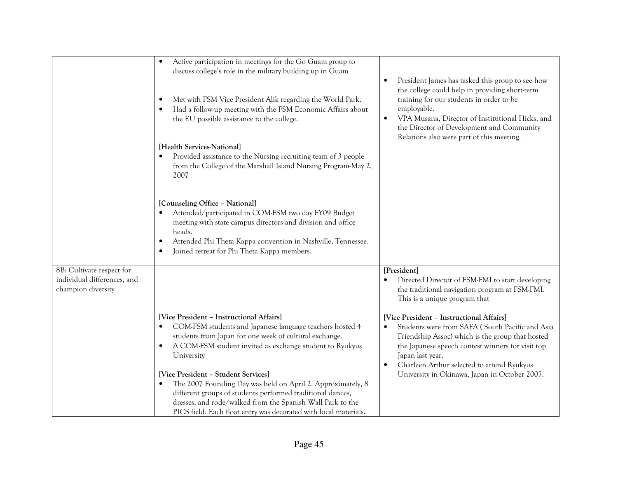|                                                                                | Active participation in meetings for the Go Guam group to<br>discuss college's role in the military building up in Guam<br>Met with FSM Vice President Alik regarding the World Park.<br>Had a follow-up meeting with the FSM Economic Affairs about<br>the EU possible assistance to the college.<br>[Health Services-National]<br>Provided assistance to the Nursing recruiting team of 3 people<br>from the College of the Marshall Island Nursing Program-May 2,<br>2007<br>[Counseling Office - National]<br>Attended/participated in COM-FSM two day FY09 Budget<br>meeting with state campus directors and division and office<br>heads.<br>Attended Phi Theta Kappa convention in Nashville, Tennessee.<br>$\bullet$<br>Joined retreat for Phi Theta Kappa members.<br>$\bullet$ | President James has tasked this group to see how<br>the college could help in providing short-term<br>training for our students in order to be<br>employable.<br>VPA Musana, Director of Institutional Hicks, and<br>$\bullet$<br>the Director of Development and Community<br>Relations also were part of this meeting.                                                                                                                                                      |
|--------------------------------------------------------------------------------|------------------------------------------------------------------------------------------------------------------------------------------------------------------------------------------------------------------------------------------------------------------------------------------------------------------------------------------------------------------------------------------------------------------------------------------------------------------------------------------------------------------------------------------------------------------------------------------------------------------------------------------------------------------------------------------------------------------------------------------------------------------------------------------|-------------------------------------------------------------------------------------------------------------------------------------------------------------------------------------------------------------------------------------------------------------------------------------------------------------------------------------------------------------------------------------------------------------------------------------------------------------------------------|
| 8B: Cultivate respect for<br>individual differences, and<br>champion diversity | [Vice President - Instructional Affairs]<br>COM-FSM students and Japanese language teachers hosted 4<br>students from Japan for one week of cultural exchange.<br>A COM-FSM student invited as exchange student to Ryukyus<br>University<br>[Vice President - Student Services]<br>The 2007 Founding Day was held on April 2. Approximately, 8<br>different groups of students performed traditional dances,<br>dresses, and rode/walked from the Spanish Wall Park to the<br>PICS field. Each float entry was decorated with local materials.                                                                                                                                                                                                                                           | [President]<br>Directed Director of FSM-FMI to start developing<br>the traditional navigation program at FSM-FMI.<br>This is a unique program that<br>[Vice President - Instructional Affairs]<br>Students were from SAFA (South Pacific and Asia<br>Friendship Assoc) which is the group that hosted<br>the Japanese speech contest winners for visit top<br>Japan last year.<br>Charleen Arthur selected to attend Ryukyus<br>University in Okinawa, Japan in October 2007. |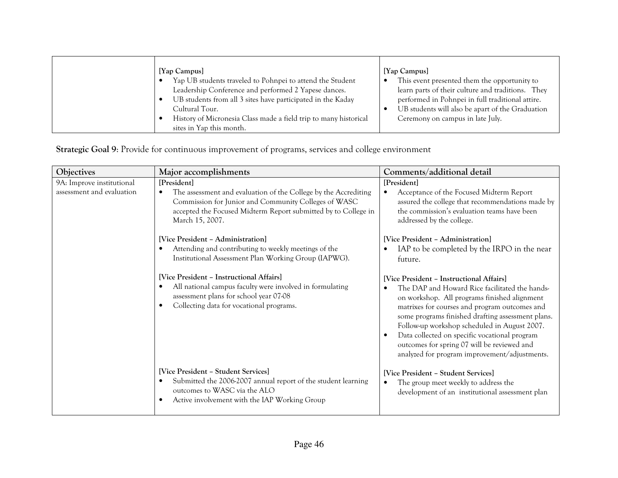| [Yap Campus]<br>Yap UB students traveled to Pohnpei to attend the Student<br>Leadership Conference and performed 2 Yapese dances.<br>UB students from all 3 sites have participated in the Kaday<br>Cultural Tour.<br>History of Micronesia Class made a field trip to many historical | [Yap Campus]<br>This event presented them the opportunity to<br>learn parts of their culture and traditions. They<br>performed in Pohnpei in full traditional attire.<br>UB students will also be apart of the Graduation<br>Ceremony on campus in late July. |
|----------------------------------------------------------------------------------------------------------------------------------------------------------------------------------------------------------------------------------------------------------------------------------------|---------------------------------------------------------------------------------------------------------------------------------------------------------------------------------------------------------------------------------------------------------------|
| sites in Yap this month.                                                                                                                                                                                                                                                               |                                                                                                                                                                                                                                                               |

Strategic Goal 9: Provide for continuous improvement of programs, services and college environment

| Objectives                                             | Major accomplishments                                                                                                                                                                                                                                                                                                                                        | Comments/additional detail                                                                                                                                                                                                                                                                                                                                                                                                                                                                      |
|--------------------------------------------------------|--------------------------------------------------------------------------------------------------------------------------------------------------------------------------------------------------------------------------------------------------------------------------------------------------------------------------------------------------------------|-------------------------------------------------------------------------------------------------------------------------------------------------------------------------------------------------------------------------------------------------------------------------------------------------------------------------------------------------------------------------------------------------------------------------------------------------------------------------------------------------|
| 9A: Improve institutional<br>assessment and evaluation | [President]<br>The assessment and evaluation of the College by the Accrediting<br>Commission for Junior and Community Colleges of WASC<br>accepted the Focused Midterm Report submitted by to College in<br>March 15, 2007.                                                                                                                                  | [President]<br>Acceptance of the Focused Midterm Report<br>assured the college that recommendations made by<br>the commission's evaluation teams have been<br>addressed by the college.                                                                                                                                                                                                                                                                                                         |
|                                                        | [Vice President - Administration]<br>Attending and contributing to weekly meetings of the<br>Institutional Assessment Plan Working Group (IAPWG).<br>[Vice President - Instructional Affairs]<br>All national campus faculty were involved in formulating<br>assessment plans for school year 07-08<br>Collecting data for vocational programs.<br>$\bullet$ | [Vice President - Administration]<br>IAP to be completed by the IRPO in the near<br>future.<br>[Vice President - Instructional Affairs]<br>The DAP and Howard Rice facilitated the hands-<br>on workshop. All programs finished alignment<br>matrixes for courses and program outcomes and<br>some programs finished drafting assessment plans.<br>Follow-up workshop scheduled in August 2007.<br>Data collected on specific vocational program<br>outcomes for spring 07 will be reviewed and |
|                                                        | [Vice President – Student Services]<br>Submitted the 2006-2007 annual report of the student learning<br>outcomes to WASC via the ALO<br>Active involvement with the IAP Working Group                                                                                                                                                                        | analyzed for program improvement/adjustments.<br>[Vice President - Student Services]<br>The group meet weekly to address the<br>development of an institutional assessment plan                                                                                                                                                                                                                                                                                                                 |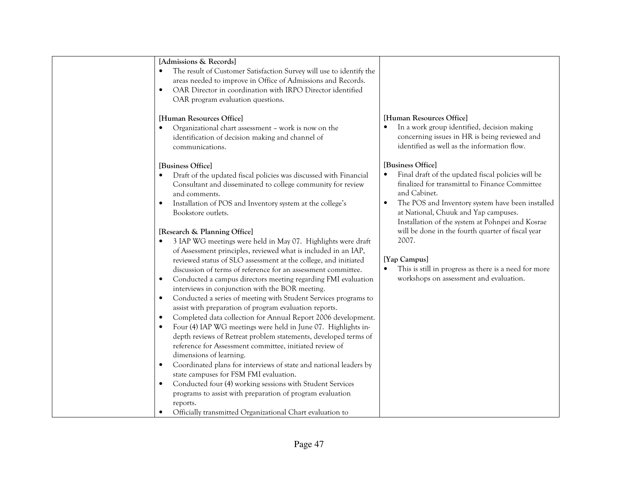| [Admissions & Records]                                               |                                                                 |
|----------------------------------------------------------------------|-----------------------------------------------------------------|
| The result of Customer Satisfaction Survey will use to identify the  |                                                                 |
| areas needed to improve in Office of Admissions and Records.         |                                                                 |
| OAR Director in coordination with IRPO Director identified           |                                                                 |
| OAR program evaluation questions.                                    |                                                                 |
|                                                                      |                                                                 |
| [Human Resources Office]                                             | [Human Resources Office]                                        |
| Organizational chart assessment - work is now on the                 | In a work group identified, decision making                     |
| identification of decision making and channel of                     | concerning issues in HR is being reviewed and                   |
| communications.                                                      | identified as well as the information flow.                     |
|                                                                      |                                                                 |
| [Business Office]                                                    | [Business Office]                                               |
| Draft of the updated fiscal policies was discussed with Financial    | Final draft of the updated fiscal policies will be<br>$\bullet$ |
| Consultant and disseminated to college community for review          | finalized for transmittal to Finance Committee                  |
| and comments.                                                        | and Cabinet.                                                    |
| Installation of POS and Inventory system at the college's            | The POS and Inventory system have been installed<br>$\bullet$   |
| Bookstore outlets.                                                   | at National, Chuuk and Yap campuses.                            |
|                                                                      | Installation of the system at Pohnpei and Kosrae                |
| [Research & Planning Office]                                         | will be done in the fourth quarter of fiscal year               |
| 3 IAP WG meetings were held in May 07. Highlights were draft         | 2007.                                                           |
| of Assessment principles, reviewed what is included in an IAP,       |                                                                 |
| reviewed status of SLO assessment at the college, and initiated      | [Yap Campus]                                                    |
| discussion of terms of reference for an assessment committee.        | This is still in progress as there is a need for more           |
| Conducted a campus directors meeting regarding FMI evaluation        | workshops on assessment and evaluation.                         |
| interviews in conjunction with the BOR meeting.                      |                                                                 |
| Conducted a series of meeting with Student Services programs to<br>٠ |                                                                 |
| assist with preparation of program evaluation reports.               |                                                                 |
| Completed data collection for Annual Report 2006 development.        |                                                                 |
| Four (4) IAP WG meetings were held in June 07. Highlights in-        |                                                                 |
| depth reviews of Retreat problem statements, developed terms of      |                                                                 |
| reference for Assessment committee, initiated review of              |                                                                 |
| dimensions of learning.                                              |                                                                 |
| Coordinated plans for interviews of state and national leaders by    |                                                                 |
| state campuses for FSM FMI evaluation.                               |                                                                 |
| Conducted four (4) working sessions with Student Services            |                                                                 |
| programs to assist with preparation of program evaluation            |                                                                 |
| reports.                                                             |                                                                 |
| Officially transmitted Organizational Chart evaluation to            |                                                                 |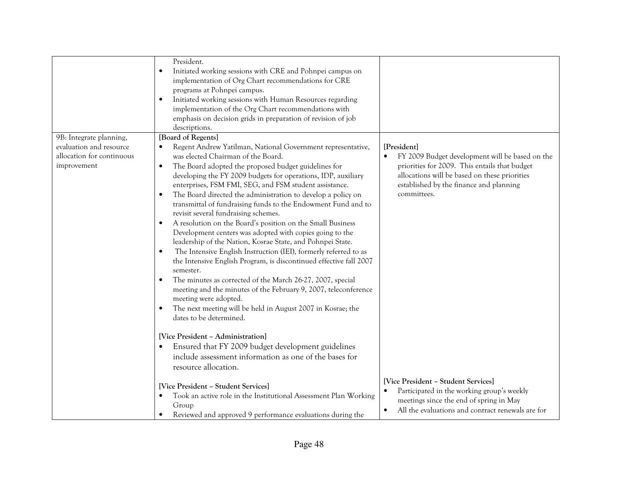|                           | President.<br>Initiated working sessions with CRE and Pohnpei campus on<br>$\bullet$<br>implementation of Org Chart recommendations for CRE<br>programs at Pohnpei campus.<br>Initiated working sessions with Human Resources regarding<br>$\bullet$<br>implementation of the Org Chart recommendations with<br>emphasis on decision grids in preparation of revision of job<br>descriptions.                                                                                                                                                                                                                                                                                                                                                                                                                                                                                                                                                                                                                   |                                                                                                                                                                      |
|---------------------------|-----------------------------------------------------------------------------------------------------------------------------------------------------------------------------------------------------------------------------------------------------------------------------------------------------------------------------------------------------------------------------------------------------------------------------------------------------------------------------------------------------------------------------------------------------------------------------------------------------------------------------------------------------------------------------------------------------------------------------------------------------------------------------------------------------------------------------------------------------------------------------------------------------------------------------------------------------------------------------------------------------------------|----------------------------------------------------------------------------------------------------------------------------------------------------------------------|
| 9B: Integrate planning,   | [Board of Regents]                                                                                                                                                                                                                                                                                                                                                                                                                                                                                                                                                                                                                                                                                                                                                                                                                                                                                                                                                                                              |                                                                                                                                                                      |
| evaluation and resource   | Regent Andrew Yatilman, National Government representative,                                                                                                                                                                                                                                                                                                                                                                                                                                                                                                                                                                                                                                                                                                                                                                                                                                                                                                                                                     | [President]                                                                                                                                                          |
| allocation for continuous | was elected Chairman of the Board.                                                                                                                                                                                                                                                                                                                                                                                                                                                                                                                                                                                                                                                                                                                                                                                                                                                                                                                                                                              | FY 2009 Budget development will be based on the                                                                                                                      |
| improvement               | The Board adopted the proposed budget guidelines for<br>$\bullet$<br>developing the FY 2009 budgets for operations, IDP, auxiliary<br>enterprises, FSM FMI, SEG, and FSM student assistance.<br>The Board directed the administration to develop a policy on<br>$\bullet$<br>transmittal of fundraising funds to the Endowment Fund and to<br>revisit several fundraising schemes.<br>A resolution on the Board's position on the Small Business<br>$\bullet$<br>Development centers was adopted with copies going to the<br>leadership of the Nation, Kosrae State, and Pohnpei State.<br>The Intensive English Instruction (IEI), formerly referred to as<br>$\bullet$<br>the Intensive English Program, is discontinued effective fall 2007<br>semester.<br>The minutes as corrected of the March 26-27, 2007, special<br>meeting and the minutes of the February 9, 2007, teleconference<br>meeting were adopted.<br>The next meeting will be held in August 2007 in Kosrae; the<br>dates to be determined. | priorities for 2009. This entails that budget<br>allocations will be based on these priorities<br>established by the finance and planning<br>committees.             |
|                           | [Vice President - Administration]                                                                                                                                                                                                                                                                                                                                                                                                                                                                                                                                                                                                                                                                                                                                                                                                                                                                                                                                                                               |                                                                                                                                                                      |
|                           | Ensured that FY 2009 budget development guidelines<br>$\bullet$                                                                                                                                                                                                                                                                                                                                                                                                                                                                                                                                                                                                                                                                                                                                                                                                                                                                                                                                                 |                                                                                                                                                                      |
|                           | include assessment information as one of the bases for<br>resource allocation.                                                                                                                                                                                                                                                                                                                                                                                                                                                                                                                                                                                                                                                                                                                                                                                                                                                                                                                                  |                                                                                                                                                                      |
|                           | [Vice President - Student Services]                                                                                                                                                                                                                                                                                                                                                                                                                                                                                                                                                                                                                                                                                                                                                                                                                                                                                                                                                                             | [Vice President - Student Services]                                                                                                                                  |
|                           | Took an active role in the Institutional Assessment Plan Working<br>$\bullet$<br>Group<br>Reviewed and approved 9 performance evaluations during the                                                                                                                                                                                                                                                                                                                                                                                                                                                                                                                                                                                                                                                                                                                                                                                                                                                            | Participated in the working group's weekly<br>$\bullet$<br>meetings since the end of spring in May<br>All the evaluations and contract renewals are for<br>$\bullet$ |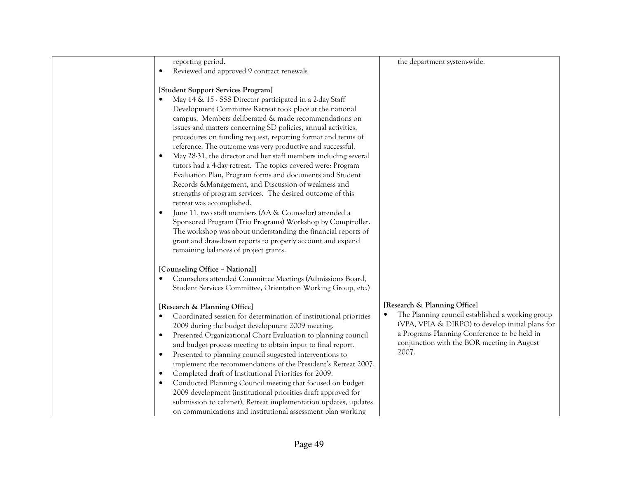| reporting period.                                                                                                  | the department system-wide.                      |
|--------------------------------------------------------------------------------------------------------------------|--------------------------------------------------|
| Reviewed and approved 9 contract renewals                                                                          |                                                  |
|                                                                                                                    |                                                  |
| [Student Support Services Program]                                                                                 |                                                  |
| May 14 & 15 - SSS Director participated in a 2-day Staff                                                           |                                                  |
| Development Committee Retreat took place at the national                                                           |                                                  |
| campus. Members deliberated & made recommendations on                                                              |                                                  |
| issues and matters concerning SD policies, annual activities,                                                      |                                                  |
| procedures on funding request, reporting format and terms of                                                       |                                                  |
| reference. The outcome was very productive and successful.                                                         |                                                  |
| May 28-31, the director and her staff members including several<br>$\bullet$                                       |                                                  |
| tutors had a 4-day retreat. The topics covered were: Program                                                       |                                                  |
| Evaluation Plan, Program forms and documents and Student                                                           |                                                  |
| Records & Management, and Discussion of weakness and<br>strengths of program services. The desired outcome of this |                                                  |
| retreat was accomplished.                                                                                          |                                                  |
| June 11, two staff members (AA & Counselor) attended a                                                             |                                                  |
| Sponsored Program (Trio Programs) Workshop by Comptroller.                                                         |                                                  |
| The workshop was about understanding the financial reports of                                                      |                                                  |
| grant and drawdown reports to properly account and expend                                                          |                                                  |
| remaining balances of project grants.                                                                              |                                                  |
|                                                                                                                    |                                                  |
| [Counseling Office - National]                                                                                     |                                                  |
| Counselors attended Committee Meetings (Admissions Board,                                                          |                                                  |
| Student Services Committee, Orientation Working Group, etc.)                                                       |                                                  |
|                                                                                                                    | [Research & Planning Office]                     |
| [Research & Planning Office]<br>Coordinated session for determination of institutional priorities                  | The Planning council established a working group |
| 2009 during the budget development 2009 meeting.                                                                   | (VPA, VPIA & DIRPO) to develop initial plans for |
| Presented Organizational Chart Evaluation to planning council<br>٠                                                 | a Programs Planning Conference to be held in     |
| and budget process meeting to obtain input to final report.                                                        | conjunction with the BOR meeting in August       |
| Presented to planning council suggested interventions to<br>٠                                                      | 2007.                                            |
| implement the recommendations of the President's Retreat 2007.                                                     |                                                  |
| Completed draft of Institutional Priorities for 2009.<br>$\bullet$                                                 |                                                  |
| Conducted Planning Council meeting that focused on budget                                                          |                                                  |
| 2009 development (institutional priorities draft approved for                                                      |                                                  |
| submission to cabinet), Retreat implementation updates, updates                                                    |                                                  |
| on communications and institutional assessment plan working                                                        |                                                  |